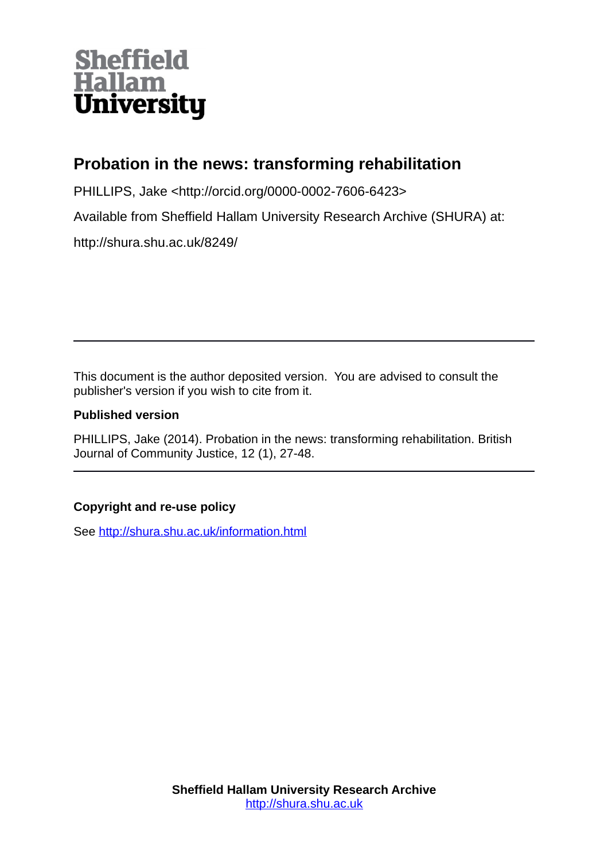# **Sheffield<br>Hallam<br>University**

# **Probation in the news: transforming rehabilitation**

PHILLIPS, Jake <http://orcid.org/0000-0002-7606-6423>

Available from Sheffield Hallam University Research Archive (SHURA) at:

http://shura.shu.ac.uk/8249/

This document is the author deposited version. You are advised to consult the publisher's version if you wish to cite from it.

### **Published version**

PHILLIPS, Jake (2014). Probation in the news: transforming rehabilitation. British Journal of Community Justice, 12 (1), 27-48.

## **Copyright and re-use policy**

See<http://shura.shu.ac.uk/information.html>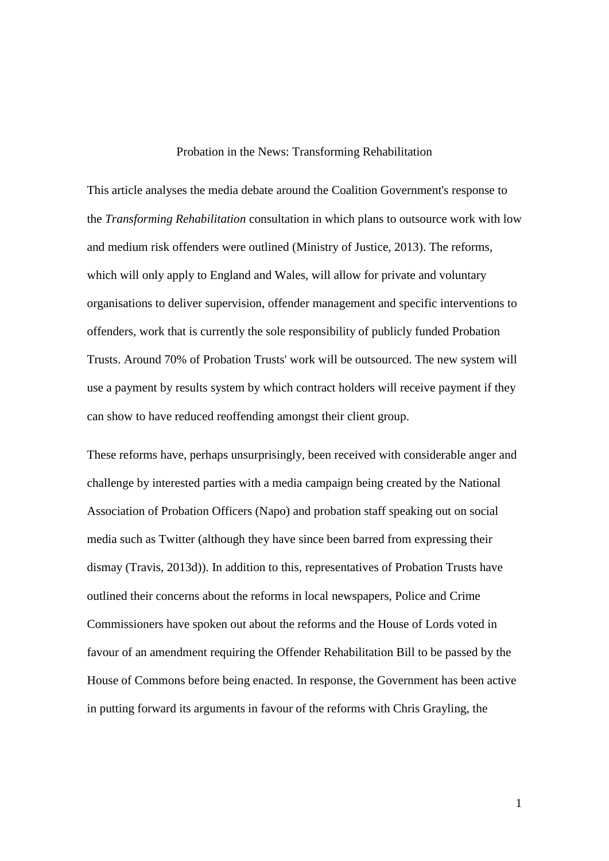#### Probation in the News: Transforming Rehabilitation

This article analyses the media debate around the Coalition Government's response to the *Transforming Rehabilitation* consultation in which plans to outsource work with low and medium risk offenders were outlined (Ministry of Justice, 2013). The reforms, which will only apply to England and Wales, will allow for private and voluntary organisations to deliver supervision, offender management and specific interventions to offenders, work that is currently the sole responsibility of publicly funded Probation Trusts. Around 70% of Probation Trusts' work will be outsourced. The new system will use a payment by results system by which contract holders will receive payment if they can show to have reduced reoffending amongst their client group.

These reforms have, perhaps unsurprisingly, been received with considerable anger and challenge by interested parties with a media campaign being created by the National Association of Probation Officers (Napo) and probation staff speaking out on social media such as Twitter (although they have since been barred from expressing their dismay (Travis, 2013d)). In addition to this, representatives of Probation Trusts have outlined their concerns about the reforms in local newspapers, Police and Crime Commissioners have spoken out about the reforms and the House of Lords voted in favour of an amendment requiring the Offender Rehabilitation Bill to be passed by the House of Commons before being enacted. In response, the Government has been active in putting forward its arguments in favour of the reforms with Chris Grayling, the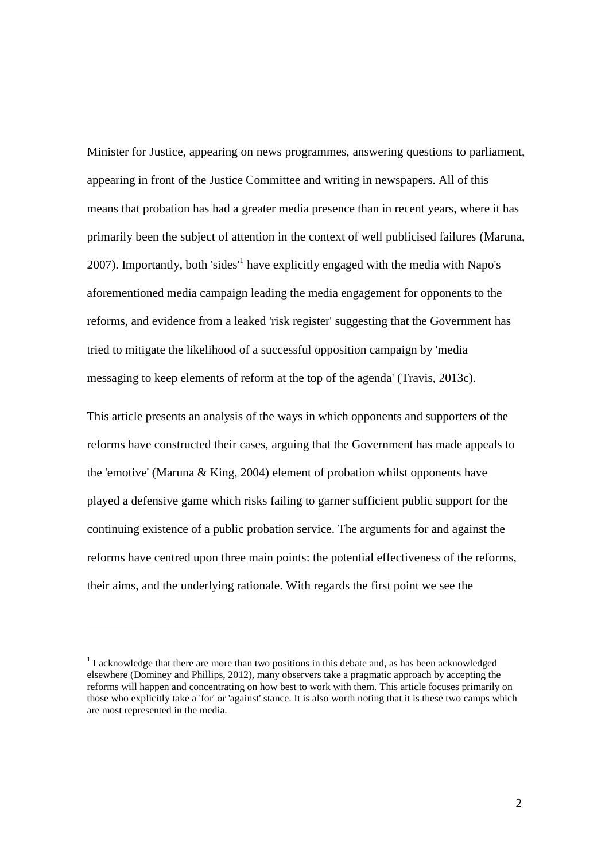Minister for Justice, appearing on news programmes, answering questions to parliament, appearing in front of the Justice Committee and writing in newspapers. All of this means that probation has had a greater media presence than in recent years, where it has primarily been the subject of attention in the context of well publicised failures (Maruna, 2007). Importantly, both 'sides<sup>'1</sup> have explicitly engaged with the media with Napo's aforementioned media campaign leading the media engagement for opponents to the reforms, and evidence from a leaked 'risk register' suggesting that the Government has tried to mitigate the likelihood of a successful opposition campaign by 'media messaging to keep elements of reform at the top of the agenda' (Travis, 2013c).

This article presents an analysis of the ways in which opponents and supporters of the reforms have constructed their cases, arguing that the Government has made appeals to the 'emotive' (Maruna & King, 2004) element of probation whilst opponents have played a defensive game which risks failing to garner sufficient public support for the continuing existence of a public probation service. The arguments for and against the reforms have centred upon three main points: the potential effectiveness of the reforms, their aims, and the underlying rationale. With regards the first point we see the

1

 $1$  I acknowledge that there are more than two positions in this debate and, as has been acknowledged elsewhere (Dominey and Phillips, 2012), many observers take a pragmatic approach by accepting the reforms will happen and concentrating on how best to work with them. This article focuses primarily on those who explicitly take a 'for' or 'against' stance. It is also worth noting that it is these two camps which are most represented in the media.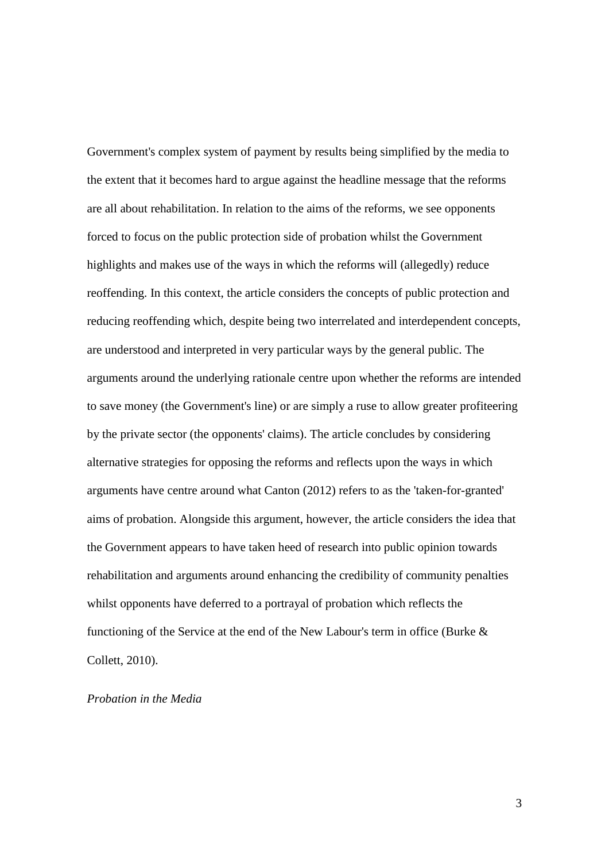Government's complex system of payment by results being simplified by the media to the extent that it becomes hard to argue against the headline message that the reforms are all about rehabilitation. In relation to the aims of the reforms, we see opponents forced to focus on the public protection side of probation whilst the Government highlights and makes use of the ways in which the reforms will (allegedly) reduce reoffending. In this context, the article considers the concepts of public protection and reducing reoffending which, despite being two interrelated and interdependent concepts, are understood and interpreted in very particular ways by the general public. The arguments around the underlying rationale centre upon whether the reforms are intended to save money (the Government's line) or are simply a ruse to allow greater profiteering by the private sector (the opponents' claims). The article concludes by considering alternative strategies for opposing the reforms and reflects upon the ways in which arguments have centre around what Canton (2012) refers to as the 'taken-for-granted' aims of probation. Alongside this argument, however, the article considers the idea that the Government appears to have taken heed of research into public opinion towards rehabilitation and arguments around enhancing the credibility of community penalties whilst opponents have deferred to a portrayal of probation which reflects the functioning of the Service at the end of the New Labour's term in office (Burke & Collett, 2010).

#### *Probation in the Media*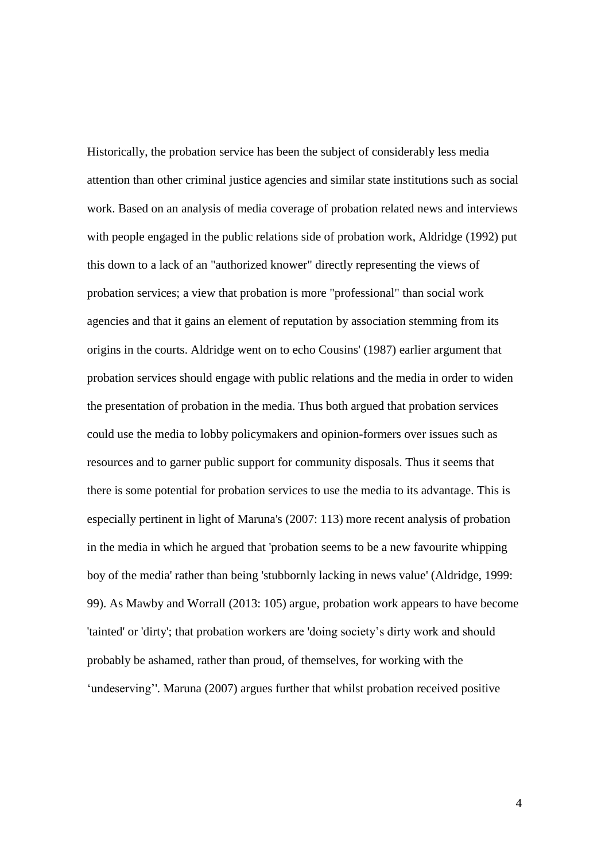Historically, the probation service has been the subject of considerably less media attention than other criminal justice agencies and similar state institutions such as social work. Based on an analysis of media coverage of probation related news and interviews with people engaged in the public relations side of probation work, Aldridge (1992) put this down to a lack of an "authorized knower" directly representing the views of probation services; a view that probation is more "professional" than social work agencies and that it gains an element of reputation by association stemming from its origins in the courts. Aldridge went on to echo Cousins' (1987) earlier argument that probation services should engage with public relations and the media in order to widen the presentation of probation in the media. Thus both argued that probation services could use the media to lobby policymakers and opinion-formers over issues such as resources and to garner public support for community disposals. Thus it seems that there is some potential for probation services to use the media to its advantage. This is especially pertinent in light of Maruna's (2007: 113) more recent analysis of probation in the media in which he argued that 'probation seems to be a new favourite whipping boy of the media' rather than being 'stubbornly lacking in news value' (Aldridge, 1999: 99). As Mawby and Worrall (2013: 105) argue, probation work appears to have become 'tainted' or 'dirty'; that probation workers are 'doing society's dirty work and should probably be ashamed, rather than proud, of themselves, for working with the 'undeserving''. Maruna (2007) argues further that whilst probation received positive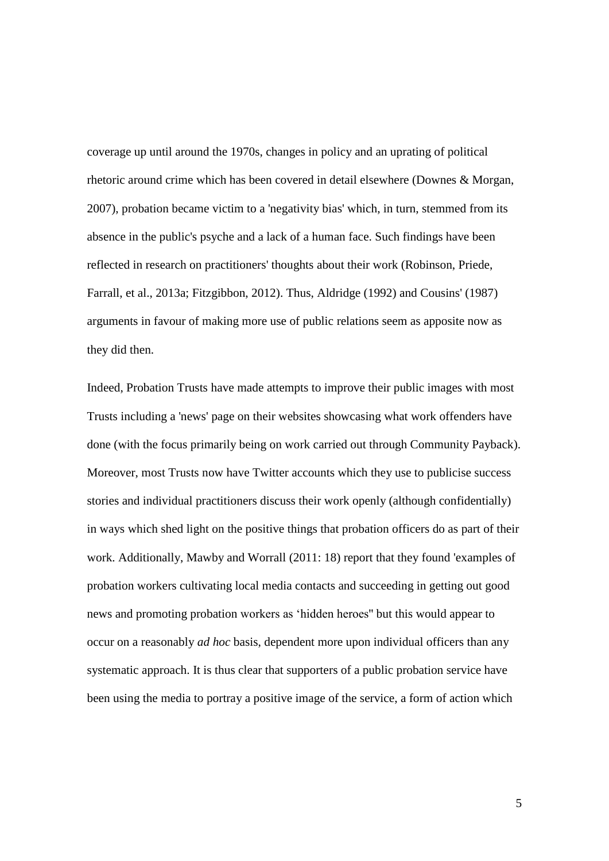coverage up until around the 1970s, changes in policy and an uprating of political rhetoric around crime which has been covered in detail elsewhere (Downes & Morgan, 2007), probation became victim to a 'negativity bias' which, in turn, stemmed from its absence in the public's psyche and a lack of a human face. Such findings have been reflected in research on practitioners' thoughts about their work (Robinson, Priede, Farrall, et al., 2013a; Fitzgibbon, 2012). Thus, Aldridge (1992) and Cousins' (1987) arguments in favour of making more use of public relations seem as apposite now as they did then.

Indeed, Probation Trusts have made attempts to improve their public images with most Trusts including a 'news' page on their websites showcasing what work offenders have done (with the focus primarily being on work carried out through Community Payback). Moreover, most Trusts now have Twitter accounts which they use to publicise success stories and individual practitioners discuss their work openly (although confidentially) in ways which shed light on the positive things that probation officers do as part of their work. Additionally, Mawby and Worrall (2011: 18) report that they found 'examples of probation workers cultivating local media contacts and succeeding in getting out good news and promoting probation workers as 'hidden heroes'' but this would appear to occur on a reasonably *ad hoc* basis, dependent more upon individual officers than any systematic approach. It is thus clear that supporters of a public probation service have been using the media to portray a positive image of the service, a form of action which

5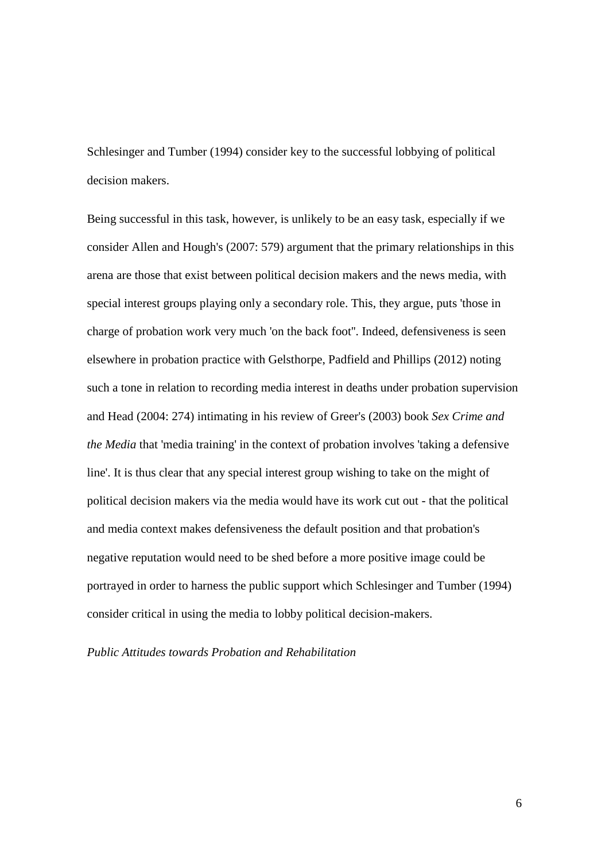Schlesinger and Tumber (1994) consider key to the successful lobbying of political decision makers.

Being successful in this task, however, is unlikely to be an easy task, especially if we consider Allen and Hough's (2007: 579) argument that the primary relationships in this arena are those that exist between political decision makers and the news media, with special interest groups playing only a secondary role. This, they argue, puts 'those in charge of probation work very much 'on the back foot''. Indeed, defensiveness is seen elsewhere in probation practice with Gelsthorpe, Padfield and Phillips (2012) noting such a tone in relation to recording media interest in deaths under probation supervision and Head (2004: 274) intimating in his review of Greer's (2003) book *Sex Crime and the Media* that 'media training' in the context of probation involves 'taking a defensive line'. It is thus clear that any special interest group wishing to take on the might of political decision makers via the media would have its work cut out - that the political and media context makes defensiveness the default position and that probation's negative reputation would need to be shed before a more positive image could be portrayed in order to harness the public support which Schlesinger and Tumber (1994) consider critical in using the media to lobby political decision-makers.

*Public Attitudes towards Probation and Rehabilitation*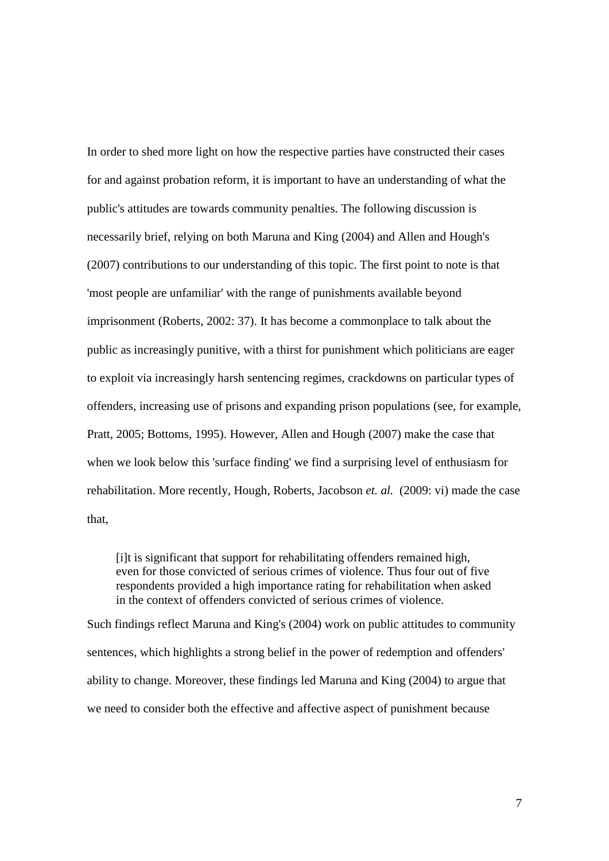In order to shed more light on how the respective parties have constructed their cases for and against probation reform, it is important to have an understanding of what the public's attitudes are towards community penalties. The following discussion is necessarily brief, relying on both Maruna and King (2004) and Allen and Hough's (2007) contributions to our understanding of this topic. The first point to note is that 'most people are unfamiliar' with the range of punishments available beyond imprisonment (Roberts, 2002: 37). It has become a commonplace to talk about the public as increasingly punitive, with a thirst for punishment which politicians are eager to exploit via increasingly harsh sentencing regimes, crackdowns on particular types of offenders, increasing use of prisons and expanding prison populations (see, for example, Pratt, 2005; Bottoms, 1995). However, Allen and Hough (2007) make the case that when we look below this 'surface finding' we find a surprising level of enthusiasm for rehabilitation. More recently, Hough, Roberts, Jacobson *et. al.* (2009: vi) made the case that,

[i]t is significant that support for rehabilitating offenders remained high, even for those convicted of serious crimes of violence. Thus four out of five respondents provided a high importance rating for rehabilitation when asked in the context of offenders convicted of serious crimes of violence.

Such findings reflect Maruna and King's (2004) work on public attitudes to community sentences, which highlights a strong belief in the power of redemption and offenders' ability to change. Moreover, these findings led Maruna and King (2004) to argue that we need to consider both the effective and affective aspect of punishment because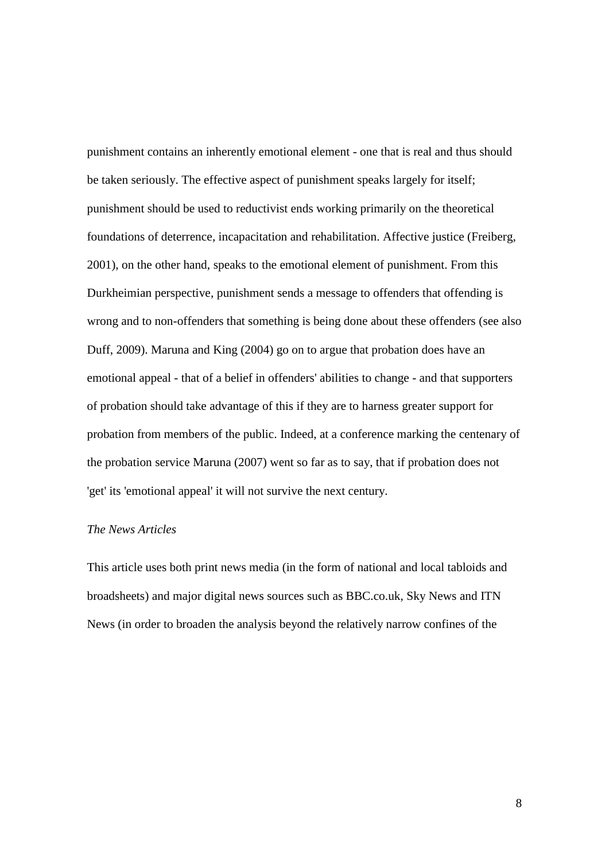punishment contains an inherently emotional element - one that is real and thus should be taken seriously. The effective aspect of punishment speaks largely for itself; punishment should be used to reductivist ends working primarily on the theoretical foundations of deterrence, incapacitation and rehabilitation. Affective justice (Freiberg, 2001), on the other hand, speaks to the emotional element of punishment. From this Durkheimian perspective, punishment sends a message to offenders that offending is wrong and to non-offenders that something is being done about these offenders (see also Duff, 2009). Maruna and King (2004) go on to argue that probation does have an emotional appeal - that of a belief in offenders' abilities to change - and that supporters of probation should take advantage of this if they are to harness greater support for probation from members of the public. Indeed, at a conference marking the centenary of the probation service Maruna (2007) went so far as to say, that if probation does not 'get' its 'emotional appeal' it will not survive the next century.

#### *The News Articles*

This article uses both print news media (in the form of national and local tabloids and broadsheets) and major digital news sources such as BBC.co.uk, Sky News and ITN News (in order to broaden the analysis beyond the relatively narrow confines of the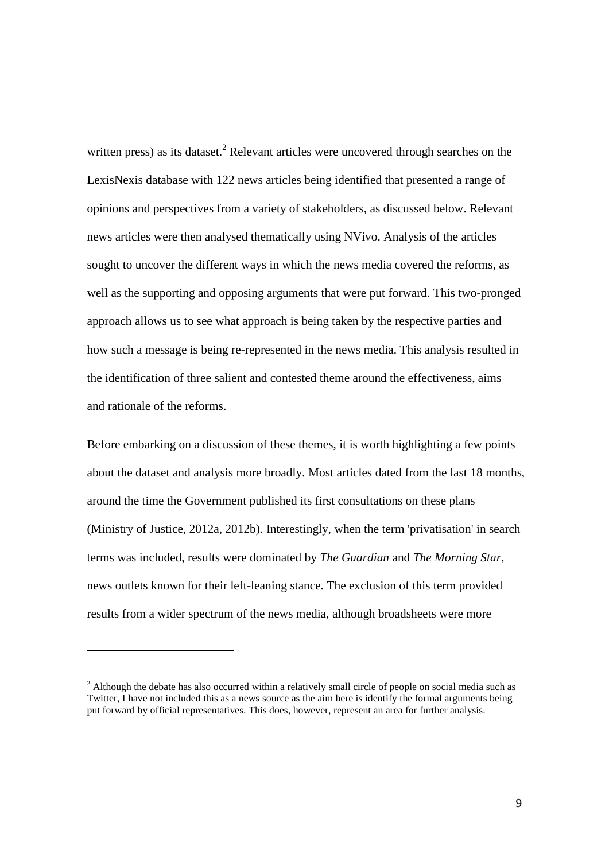written press) as its dataset.<sup>2</sup> Relevant articles were uncovered through searches on the LexisNexis database with 122 news articles being identified that presented a range of opinions and perspectives from a variety of stakeholders, as discussed below. Relevant news articles were then analysed thematically using NVivo. Analysis of the articles sought to uncover the different ways in which the news media covered the reforms, as well as the supporting and opposing arguments that were put forward. This two-pronged approach allows us to see what approach is being taken by the respective parties and how such a message is being re-represented in the news media. This analysis resulted in the identification of three salient and contested theme around the effectiveness, aims and rationale of the reforms.

Before embarking on a discussion of these themes, it is worth highlighting a few points about the dataset and analysis more broadly. Most articles dated from the last 18 months, around the time the Government published its first consultations on these plans (Ministry of Justice, 2012a, 2012b). Interestingly, when the term 'privatisation' in search terms was included, results were dominated by *The Guardian* and *The Morning Star*, news outlets known for their left-leaning stance. The exclusion of this term provided results from a wider spectrum of the news media, although broadsheets were more

<u>.</u>

<sup>&</sup>lt;sup>2</sup> Although the debate has also occurred within a relatively small circle of people on social media such as Twitter, I have not included this as a news source as the aim here is identify the formal arguments being put forward by official representatives. This does, however, represent an area for further analysis.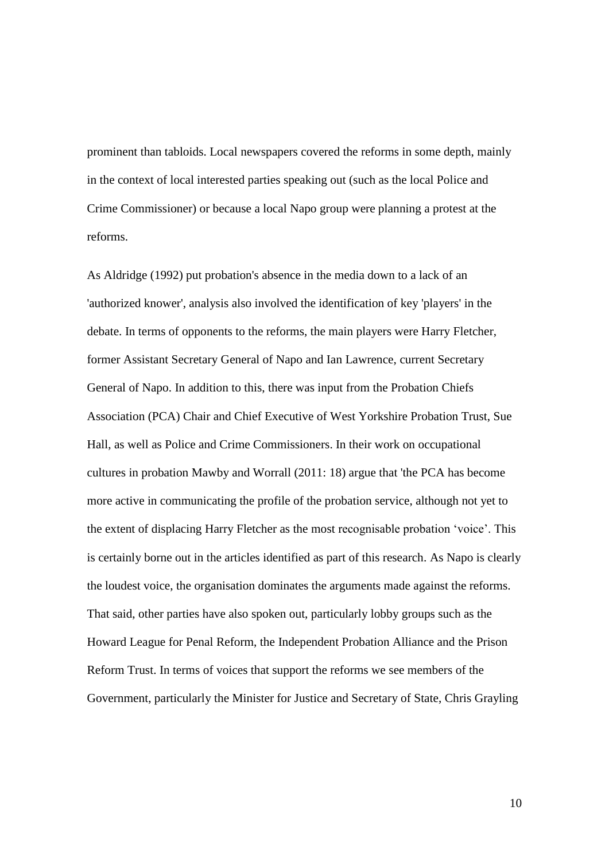prominent than tabloids. Local newspapers covered the reforms in some depth, mainly in the context of local interested parties speaking out (such as the local Police and Crime Commissioner) or because a local Napo group were planning a protest at the reforms.

As Aldridge (1992) put probation's absence in the media down to a lack of an 'authorized knower', analysis also involved the identification of key 'players' in the debate. In terms of opponents to the reforms, the main players were Harry Fletcher, former Assistant Secretary General of Napo and Ian Lawrence, current Secretary General of Napo. In addition to this, there was input from the Probation Chiefs Association (PCA) Chair and Chief Executive of West Yorkshire Probation Trust, Sue Hall, as well as Police and Crime Commissioners. In their work on occupational cultures in probation Mawby and Worrall (2011: 18) argue that 'the PCA has become more active in communicating the profile of the probation service, although not yet to the extent of displacing Harry Fletcher as the most recognisable probation 'voice'. This is certainly borne out in the articles identified as part of this research. As Napo is clearly the loudest voice, the organisation dominates the arguments made against the reforms. That said, other parties have also spoken out, particularly lobby groups such as the Howard League for Penal Reform, the Independent Probation Alliance and the Prison Reform Trust. In terms of voices that support the reforms we see members of the Government, particularly the Minister for Justice and Secretary of State, Chris Grayling

10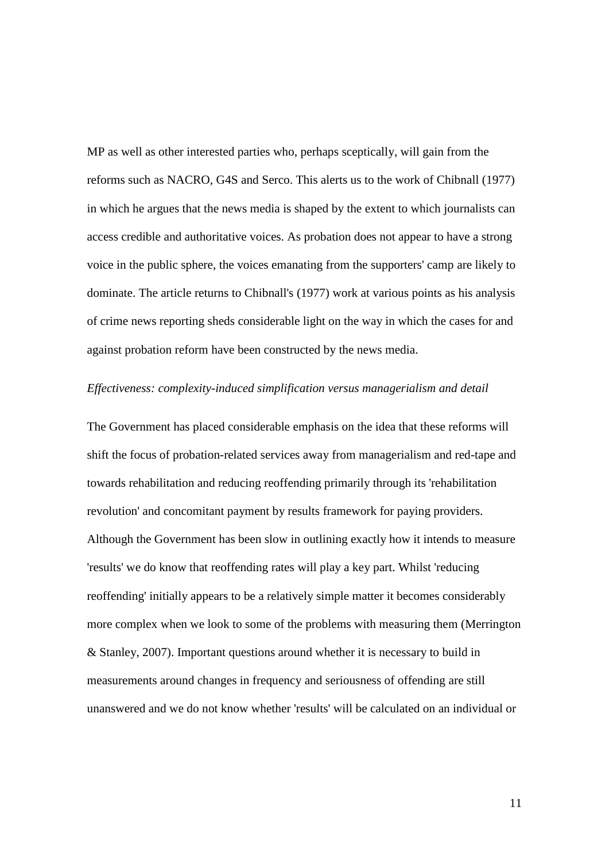MP as well as other interested parties who, perhaps sceptically, will gain from the reforms such as NACRO, G4S and Serco. This alerts us to the work of Chibnall (1977) in which he argues that the news media is shaped by the extent to which journalists can access credible and authoritative voices. As probation does not appear to have a strong voice in the public sphere, the voices emanating from the supporters' camp are likely to dominate. The article returns to Chibnall's (1977) work at various points as his analysis of crime news reporting sheds considerable light on the way in which the cases for and against probation reform have been constructed by the news media.

#### *Effectiveness: complexity-induced simplification versus managerialism and detail*

The Government has placed considerable emphasis on the idea that these reforms will shift the focus of probation-related services away from managerialism and red-tape and towards rehabilitation and reducing reoffending primarily through its 'rehabilitation revolution' and concomitant payment by results framework for paying providers. Although the Government has been slow in outlining exactly how it intends to measure 'results' we do know that reoffending rates will play a key part. Whilst 'reducing reoffending' initially appears to be a relatively simple matter it becomes considerably more complex when we look to some of the problems with measuring them (Merrington & Stanley, 2007). Important questions around whether it is necessary to build in measurements around changes in frequency and seriousness of offending are still unanswered and we do not know whether 'results' will be calculated on an individual or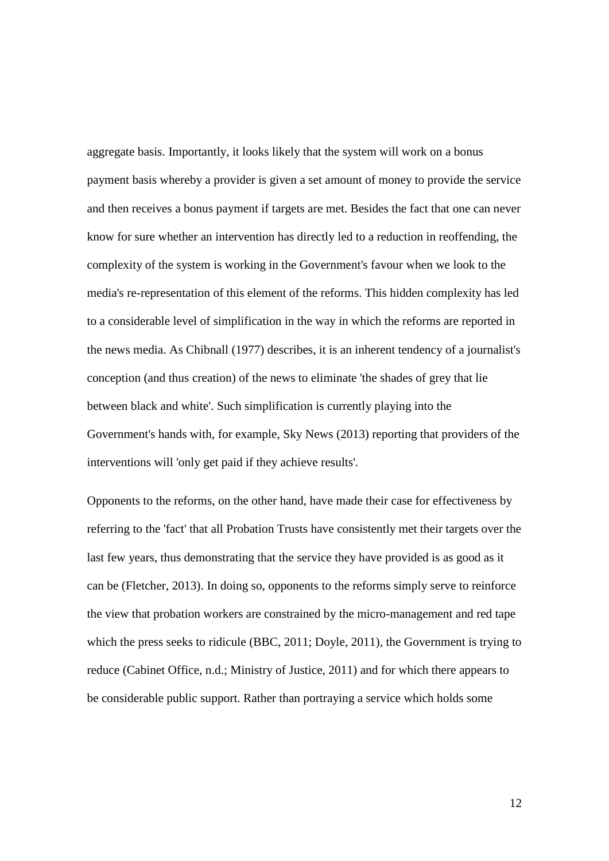aggregate basis. Importantly, it looks likely that the system will work on a bonus payment basis whereby a provider is given a set amount of money to provide the service and then receives a bonus payment if targets are met. Besides the fact that one can never know for sure whether an intervention has directly led to a reduction in reoffending, the complexity of the system is working in the Government's favour when we look to the media's re-representation of this element of the reforms. This hidden complexity has led to a considerable level of simplification in the way in which the reforms are reported in the news media. As Chibnall (1977) describes, it is an inherent tendency of a journalist's conception (and thus creation) of the news to eliminate 'the shades of grey that lie between black and white'. Such simplification is currently playing into the Government's hands with, for example, Sky News (2013) reporting that providers of the interventions will 'only get paid if they achieve results'.

Opponents to the reforms, on the other hand, have made their case for effectiveness by referring to the 'fact' that all Probation Trusts have consistently met their targets over the last few years, thus demonstrating that the service they have provided is as good as it can be (Fletcher, 2013). In doing so, opponents to the reforms simply serve to reinforce the view that probation workers are constrained by the micro-management and red tape which the press seeks to ridicule (BBC, 2011; Doyle, 2011), the Government is trying to reduce (Cabinet Office, n.d.; Ministry of Justice, 2011) and for which there appears to be considerable public support. Rather than portraying a service which holds some

12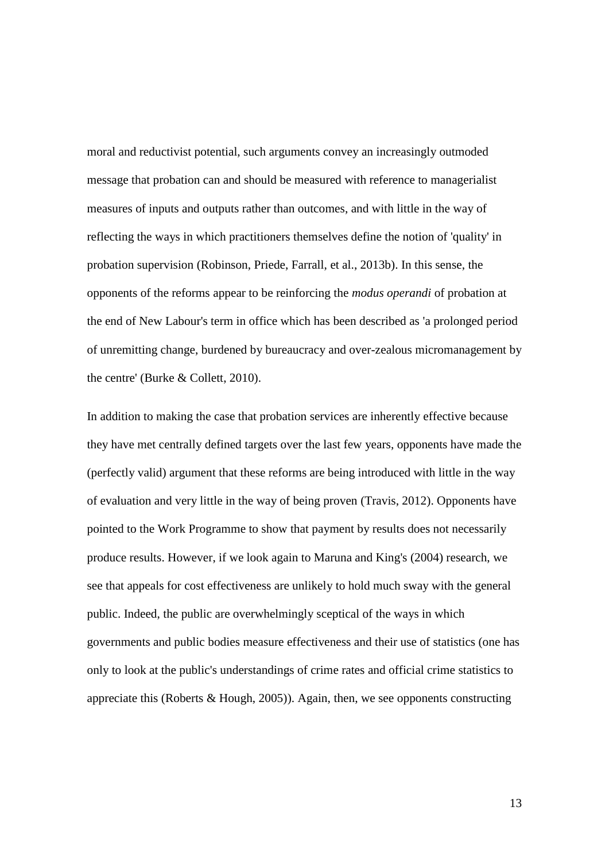moral and reductivist potential, such arguments convey an increasingly outmoded message that probation can and should be measured with reference to managerialist measures of inputs and outputs rather than outcomes, and with little in the way of reflecting the ways in which practitioners themselves define the notion of 'quality' in probation supervision (Robinson, Priede, Farrall, et al., 2013b). In this sense, the opponents of the reforms appear to be reinforcing the *modus operandi* of probation at the end of New Labour's term in office which has been described as 'a prolonged period of unremitting change, burdened by bureaucracy and over-zealous micromanagement by the centre' (Burke & Collett, 2010).

In addition to making the case that probation services are inherently effective because they have met centrally defined targets over the last few years, opponents have made the (perfectly valid) argument that these reforms are being introduced with little in the way of evaluation and very little in the way of being proven (Travis, 2012). Opponents have pointed to the Work Programme to show that payment by results does not necessarily produce results. However, if we look again to Maruna and King's (2004) research, we see that appeals for cost effectiveness are unlikely to hold much sway with the general public. Indeed, the public are overwhelmingly sceptical of the ways in which governments and public bodies measure effectiveness and their use of statistics (one has only to look at the public's understandings of crime rates and official crime statistics to appreciate this (Roberts  $& Hough, 2005$ )). Again, then, we see opponents constructing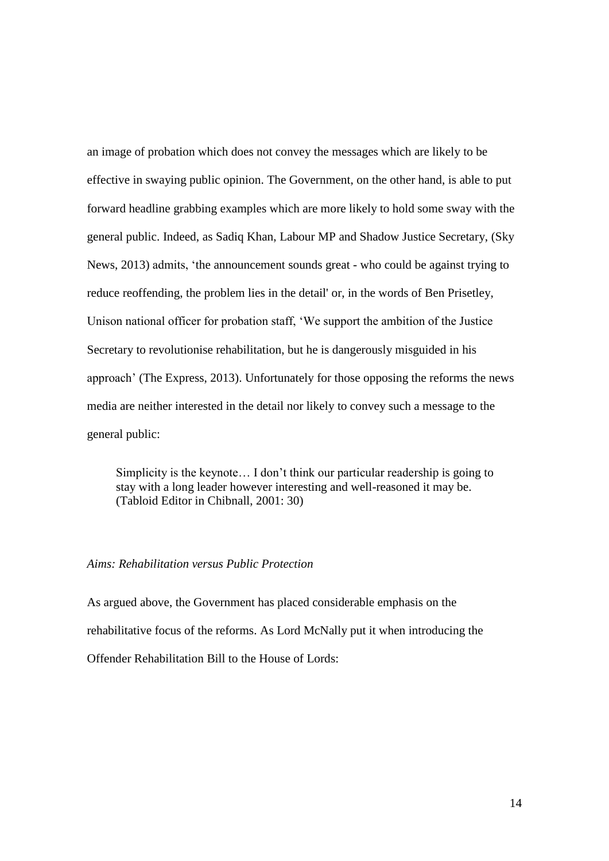an image of probation which does not convey the messages which are likely to be effective in swaying public opinion. The Government, on the other hand, is able to put forward headline grabbing examples which are more likely to hold some sway with the general public. Indeed, as Sadiq Khan, Labour MP and Shadow Justice Secretary, (Sky News, 2013) admits, 'the announcement sounds great - who could be against trying to reduce reoffending, the problem lies in the detail' or, in the words of Ben Prisetley, Unison national officer for probation staff, 'We support the ambition of the Justice Secretary to revolutionise rehabilitation, but he is dangerously misguided in his approach' (The Express, 2013). Unfortunately for those opposing the reforms the news media are neither interested in the detail nor likely to convey such a message to the general public:

Simplicity is the keynote… I don't think our particular readership is going to stay with a long leader however interesting and well-reasoned it may be. (Tabloid Editor in Chibnall, 2001: 30)

#### *Aims: Rehabilitation versus Public Protection*

As argued above, the Government has placed considerable emphasis on the rehabilitative focus of the reforms. As Lord McNally put it when introducing the Offender Rehabilitation Bill to the House of Lords: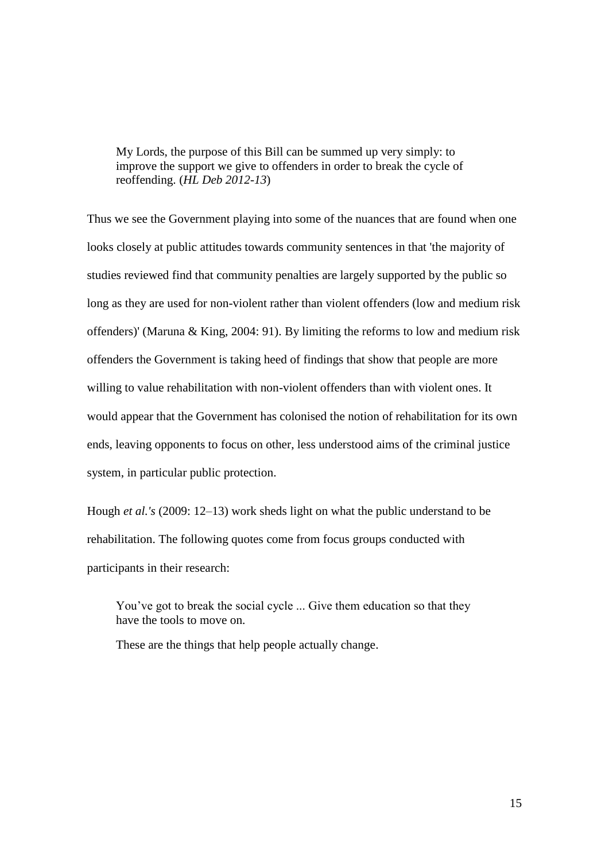My Lords, the purpose of this Bill can be summed up very simply: to improve the support we give to offenders in order to break the cycle of reoffending. (*HL Deb 2012-13*)

Thus we see the Government playing into some of the nuances that are found when one looks closely at public attitudes towards community sentences in that 'the majority of studies reviewed find that community penalties are largely supported by the public so long as they are used for non-violent rather than violent offenders (low and medium risk offenders)' (Maruna & King, 2004: 91). By limiting the reforms to low and medium risk offenders the Government is taking heed of findings that show that people are more willing to value rehabilitation with non-violent offenders than with violent ones. It would appear that the Government has colonised the notion of rehabilitation for its own ends, leaving opponents to focus on other, less understood aims of the criminal justice system, in particular public protection.

Hough *et al.'s* (2009: 12–13) work sheds light on what the public understand to be rehabilitation. The following quotes come from focus groups conducted with participants in their research:

You've got to break the social cycle ... Give them education so that they have the tools to move on.

These are the things that help people actually change.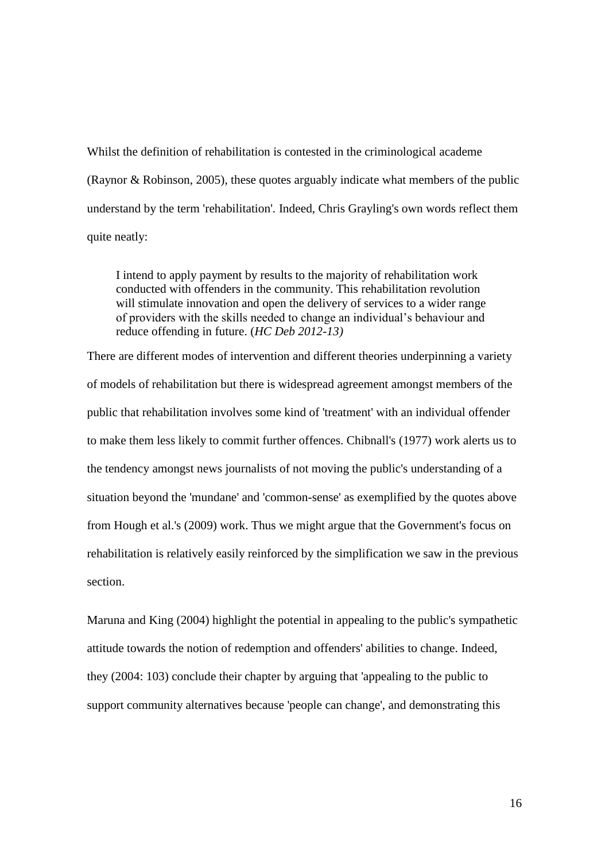Whilst the definition of rehabilitation is contested in the criminological academe (Raynor & Robinson, 2005), these quotes arguably indicate what members of the public understand by the term 'rehabilitation'. Indeed, Chris Grayling's own words reflect them quite neatly:

I intend to apply payment by results to the majority of rehabilitation work conducted with offenders in the community. This rehabilitation revolution will stimulate innovation and open the delivery of services to a wider range of providers with the skills needed to change an individual's behaviour and reduce offending in future. (*HC Deb 2012-13)*

There are different modes of intervention and different theories underpinning a variety of models of rehabilitation but there is widespread agreement amongst members of the public that rehabilitation involves some kind of 'treatment' with an individual offender to make them less likely to commit further offences. Chibnall's (1977) work alerts us to the tendency amongst news journalists of not moving the public's understanding of a situation beyond the 'mundane' and 'common-sense' as exemplified by the quotes above from Hough et al.'s (2009) work. Thus we might argue that the Government's focus on rehabilitation is relatively easily reinforced by the simplification we saw in the previous section.

Maruna and King (2004) highlight the potential in appealing to the public's sympathetic attitude towards the notion of redemption and offenders' abilities to change. Indeed, they (2004: 103) conclude their chapter by arguing that 'appealing to the public to support community alternatives because 'people can change', and demonstrating this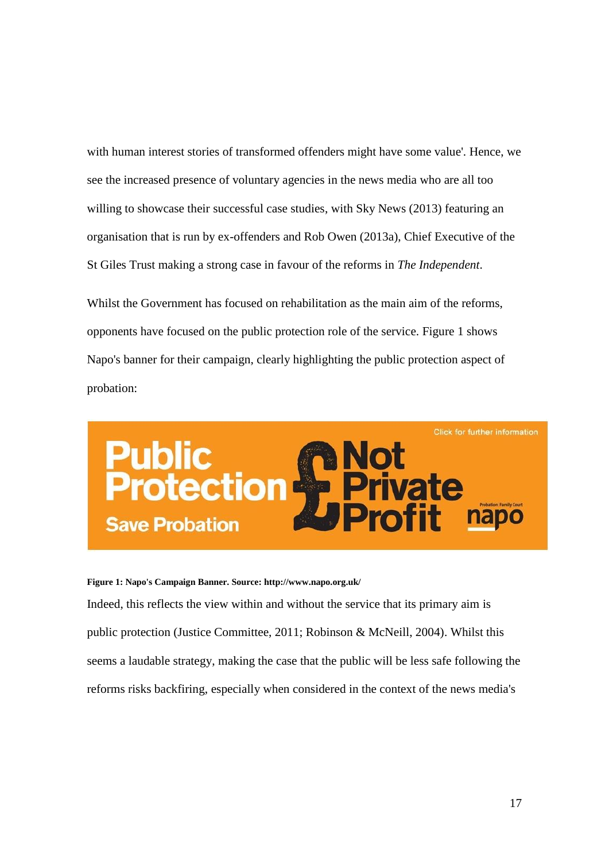with human interest stories of transformed offenders might have some value'. Hence, we see the increased presence of voluntary agencies in the news media who are all too willing to showcase their successful case studies, with Sky News (2013) featuring an organisation that is run by ex-offenders and Rob Owen (2013a), Chief Executive of the St Giles Trust making a strong case in favour of the reforms in *The Independent*.

Whilst the Government has focused on rehabilitation as the main aim of the reforms, opponents have focused on the public protection role of the service. Figure 1 shows Napo's banner for their campaign, clearly highlighting the public protection aspect of probation:



**Figure 1: Napo's Campaign Banner. Source: http://www.napo.org.uk/**

Indeed, this reflects the view within and without the service that its primary aim is public protection (Justice Committee, 2011; Robinson & McNeill, 2004). Whilst this seems a laudable strategy, making the case that the public will be less safe following the reforms risks backfiring, especially when considered in the context of the news media's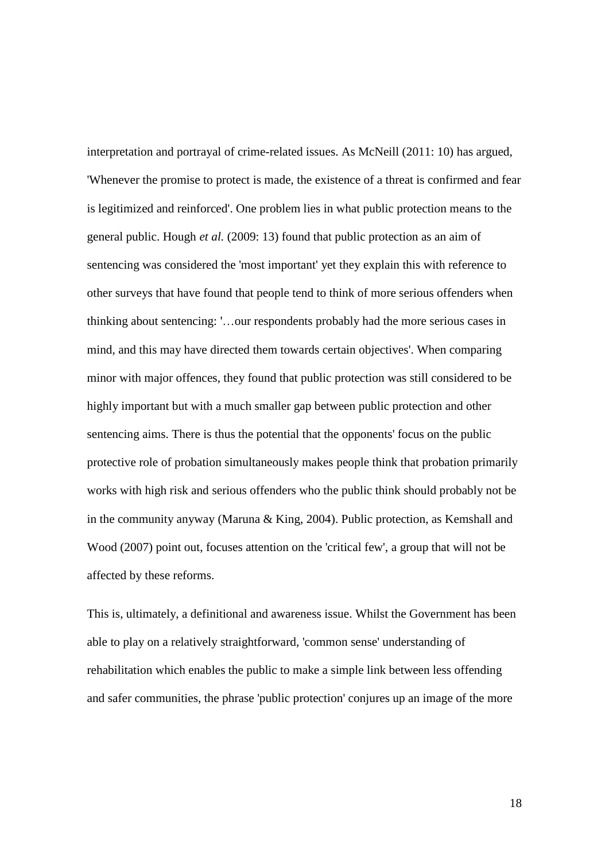interpretation and portrayal of crime-related issues. As McNeill (2011: 10) has argued, 'Whenever the promise to protect is made, the existence of a threat is confirmed and fear is legitimized and reinforced'. One problem lies in what public protection means to the general public. Hough *et al.* (2009: 13) found that public protection as an aim of sentencing was considered the 'most important' yet they explain this with reference to other surveys that have found that people tend to think of more serious offenders when thinking about sentencing: '…our respondents probably had the more serious cases in mind, and this may have directed them towards certain objectives'. When comparing minor with major offences, they found that public protection was still considered to be highly important but with a much smaller gap between public protection and other sentencing aims. There is thus the potential that the opponents' focus on the public protective role of probation simultaneously makes people think that probation primarily works with high risk and serious offenders who the public think should probably not be in the community anyway (Maruna & King, 2004). Public protection, as Kemshall and Wood (2007) point out, focuses attention on the 'critical few', a group that will not be affected by these reforms.

This is, ultimately, a definitional and awareness issue. Whilst the Government has been able to play on a relatively straightforward, 'common sense' understanding of rehabilitation which enables the public to make a simple link between less offending and safer communities, the phrase 'public protection' conjures up an image of the more

18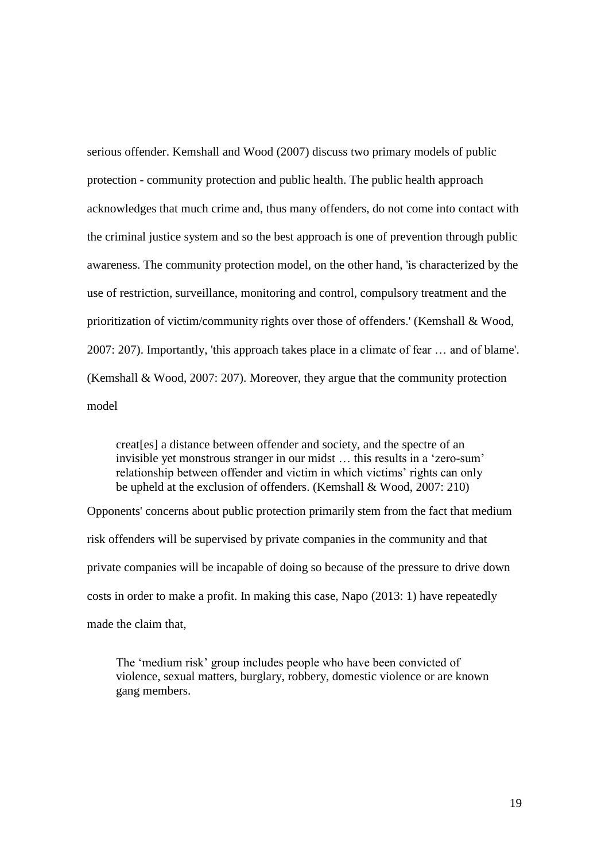serious offender. Kemshall and Wood (2007) discuss two primary models of public protection - community protection and public health. The public health approach acknowledges that much crime and, thus many offenders, do not come into contact with the criminal justice system and so the best approach is one of prevention through public awareness. The community protection model, on the other hand, 'is characterized by the use of restriction, surveillance, monitoring and control, compulsory treatment and the prioritization of victim/community rights over those of offenders.' (Kemshall & Wood, 2007: 207). Importantly, 'this approach takes place in a climate of fear … and of blame'. (Kemshall & Wood, 2007: 207). Moreover, they argue that the community protection model

creat[es] a distance between offender and society, and the spectre of an invisible yet monstrous stranger in our midst … this results in a 'zero-sum' relationship between offender and victim in which victims' rights can only be upheld at the exclusion of offenders. (Kemshall & Wood, 2007: 210)

Opponents' concerns about public protection primarily stem from the fact that medium risk offenders will be supervised by private companies in the community and that private companies will be incapable of doing so because of the pressure to drive down costs in order to make a profit. In making this case, Napo (2013: 1) have repeatedly made the claim that,

The 'medium risk' group includes people who have been convicted of violence, sexual matters, burglary, robbery, domestic violence or are known gang members.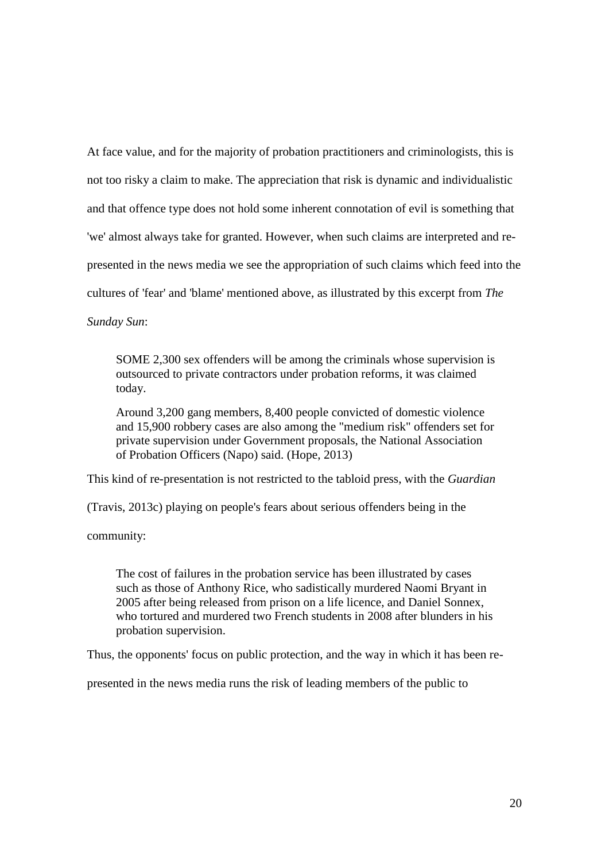At face value, and for the majority of probation practitioners and criminologists, this is not too risky a claim to make. The appreciation that risk is dynamic and individualistic and that offence type does not hold some inherent connotation of evil is something that 'we' almost always take for granted. However, when such claims are interpreted and represented in the news media we see the appropriation of such claims which feed into the cultures of 'fear' and 'blame' mentioned above, as illustrated by this excerpt from *The*

*Sunday Sun*:

SOME 2,300 sex offenders will be among the criminals whose supervision is outsourced to private contractors under probation reforms, it was claimed today.

Around 3,200 gang members, 8,400 people convicted of domestic violence and 15,900 robbery cases are also among the "medium risk" offenders set for private supervision under Government proposals, the National Association of Probation Officers (Napo) said. (Hope, 2013)

This kind of re-presentation is not restricted to the tabloid press, with the *Guardian*

(Travis, 2013c) playing on people's fears about serious offenders being in the

community:

The cost of failures in the probation service has been illustrated by cases such as those of Anthony Rice, who sadistically murdered Naomi Bryant in 2005 after being released from prison on a life licence, and Daniel Sonnex, who tortured and murdered two French students in 2008 after blunders in his probation supervision.

Thus, the opponents' focus on public protection, and the way in which it has been re-

presented in the news media runs the risk of leading members of the public to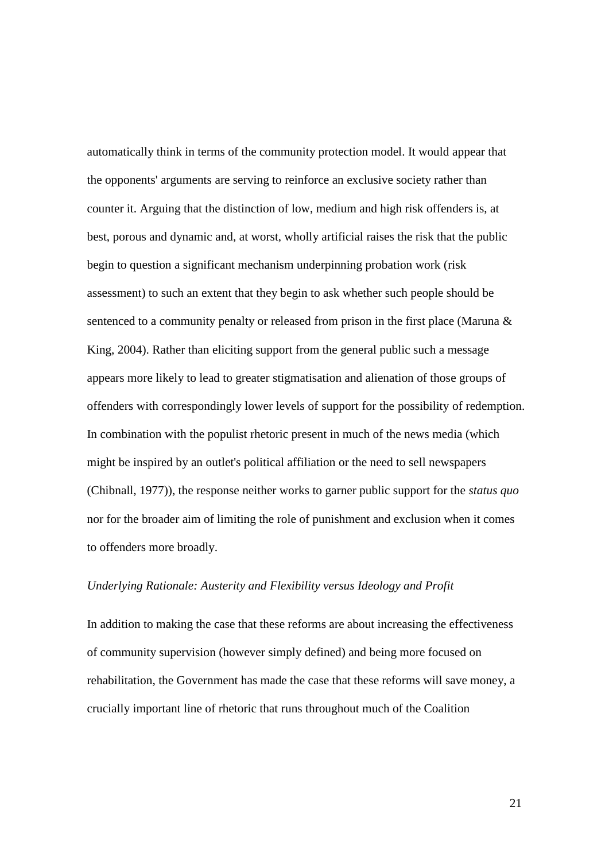automatically think in terms of the community protection model. It would appear that the opponents' arguments are serving to reinforce an exclusive society rather than counter it. Arguing that the distinction of low, medium and high risk offenders is, at best, porous and dynamic and, at worst, wholly artificial raises the risk that the public begin to question a significant mechanism underpinning probation work (risk assessment) to such an extent that they begin to ask whether such people should be sentenced to a community penalty or released from prison in the first place (Maruna & King, 2004). Rather than eliciting support from the general public such a message appears more likely to lead to greater stigmatisation and alienation of those groups of offenders with correspondingly lower levels of support for the possibility of redemption. In combination with the populist rhetoric present in much of the news media (which might be inspired by an outlet's political affiliation or the need to sell newspapers (Chibnall, 1977)), the response neither works to garner public support for the *status quo* nor for the broader aim of limiting the role of punishment and exclusion when it comes to offenders more broadly.

#### *Underlying Rationale: Austerity and Flexibility versus Ideology and Profit*

In addition to making the case that these reforms are about increasing the effectiveness of community supervision (however simply defined) and being more focused on rehabilitation, the Government has made the case that these reforms will save money, a crucially important line of rhetoric that runs throughout much of the Coalition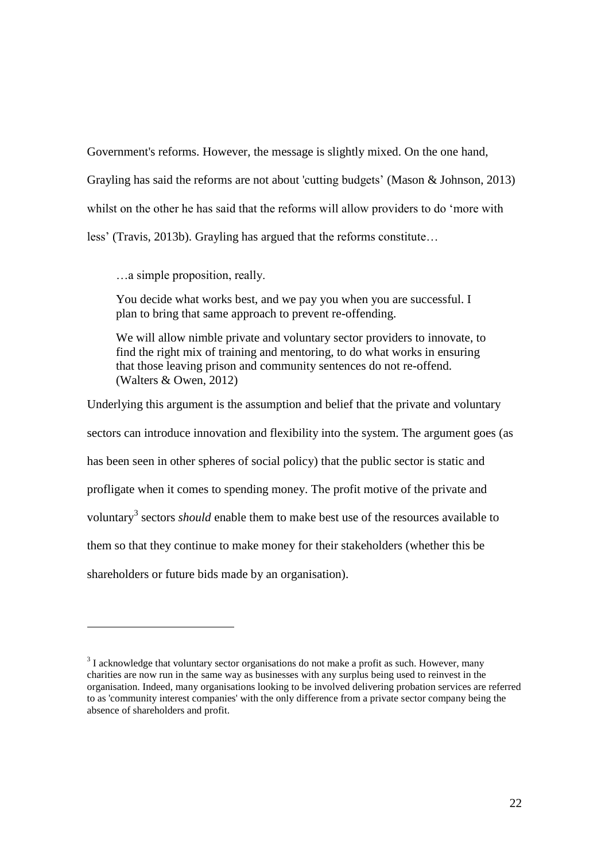Government's reforms. However, the message is slightly mixed. On the one hand, Grayling has said the reforms are not about 'cutting budgets' (Mason & Johnson, 2013) whilst on the other he has said that the reforms will allow providers to do 'more with less' (Travis, 2013b). Grayling has argued that the reforms constitute…

…a simple proposition, really.

1

You decide what works best, and we pay you when you are successful. I plan to bring that same approach to prevent re-offending.

We will allow nimble private and voluntary sector providers to innovate, to find the right mix of training and mentoring, to do what works in ensuring that those leaving prison and community sentences do not re-offend. (Walters & Owen, 2012)

Underlying this argument is the assumption and belief that the private and voluntary sectors can introduce innovation and flexibility into the system. The argument goes (as has been seen in other spheres of social policy) that the public sector is static and profligate when it comes to spending money. The profit motive of the private and voluntary<sup>3</sup> sectors *should* enable them to make best use of the resources available to them so that they continue to make money for their stakeholders (whether this be shareholders or future bids made by an organisation).

 $3<sup>3</sup>$  I acknowledge that voluntary sector organisations do not make a profit as such. However, many charities are now run in the same way as businesses with any surplus being used to reinvest in the organisation. Indeed, many organisations looking to be involved delivering probation services are referred to as 'community interest companies' with the only difference from a private sector company being the absence of shareholders and profit.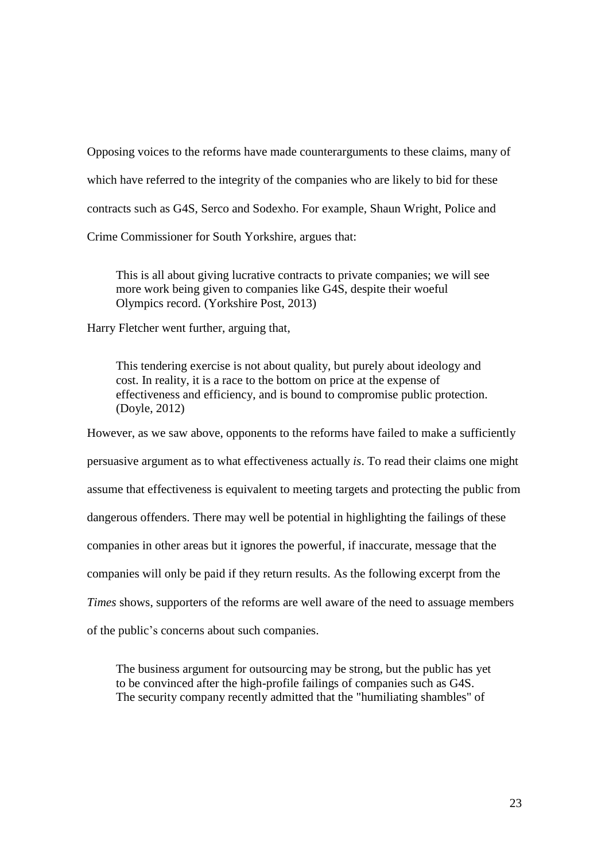Opposing voices to the reforms have made counterarguments to these claims, many of which have referred to the integrity of the companies who are likely to bid for these contracts such as G4S, Serco and Sodexho. For example, Shaun Wright, Police and

Crime Commissioner for South Yorkshire, argues that:

This is all about giving lucrative contracts to private companies; we will see more work being given to companies like G4S, despite their woeful Olympics record. (Yorkshire Post, 2013)

Harry Fletcher went further, arguing that,

This tendering exercise is not about quality, but purely about ideology and cost. In reality, it is a race to the bottom on price at the expense of effectiveness and efficiency, and is bound to compromise public protection. (Doyle, 2012)

However, as we saw above, opponents to the reforms have failed to make a sufficiently persuasive argument as to what effectiveness actually *is*. To read their claims one might assume that effectiveness is equivalent to meeting targets and protecting the public from dangerous offenders. There may well be potential in highlighting the failings of these companies in other areas but it ignores the powerful, if inaccurate, message that the companies will only be paid if they return results. As the following excerpt from the *Times* shows, supporters of the reforms are well aware of the need to assuage members

of the public's concerns about such companies.

The business argument for outsourcing may be strong, but the public has yet to be convinced after the high-profile failings of companies such as G4S. The security company recently admitted that the "humiliating shambles" of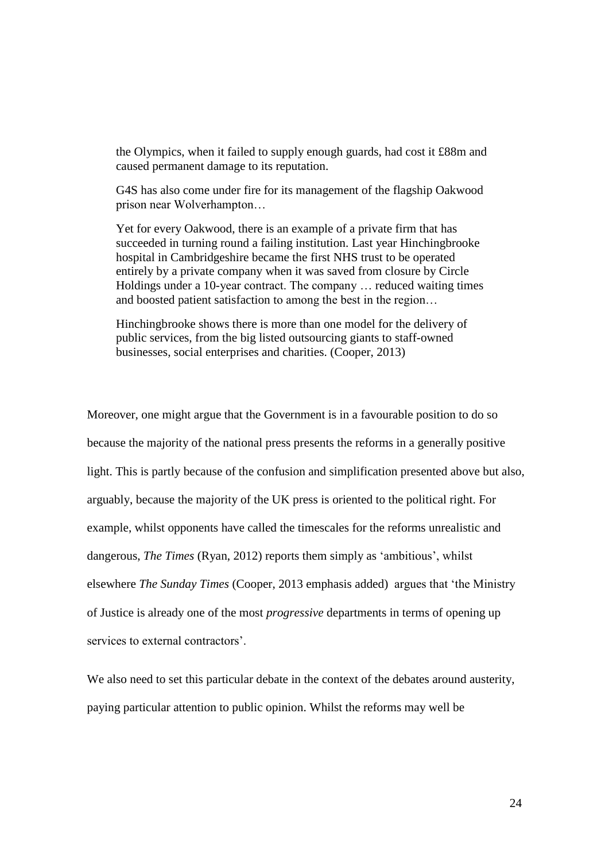the Olympics, when it failed to supply enough guards, had cost it £88m and caused permanent damage to its reputation.

G4S has also come under fire for its management of the flagship Oakwood prison near Wolverhampton…

Yet for every Oakwood, there is an example of a private firm that has succeeded in turning round a failing institution. Last year Hinchingbrooke hospital in Cambridgeshire became the first NHS trust to be operated entirely by a private company when it was saved from closure by Circle Holdings under a 10-year contract. The company … reduced waiting times and boosted patient satisfaction to among the best in the region…

Hinchingbrooke shows there is more than one model for the delivery of public services, from the big listed outsourcing giants to staff-owned businesses, social enterprises and charities. (Cooper, 2013)

Moreover, one might argue that the Government is in a favourable position to do so because the majority of the national press presents the reforms in a generally positive light. This is partly because of the confusion and simplification presented above but also, arguably, because the majority of the UK press is oriented to the political right. For example, whilst opponents have called the timescales for the reforms unrealistic and dangerous, *The Times* (Ryan, 2012) reports them simply as 'ambitious', whilst elsewhere *The Sunday Times* (Cooper, 2013 emphasis added) argues that 'the Ministry of Justice is already one of the most *progressive* departments in terms of opening up services to external contractors'.

We also need to set this particular debate in the context of the debates around austerity, paying particular attention to public opinion. Whilst the reforms may well be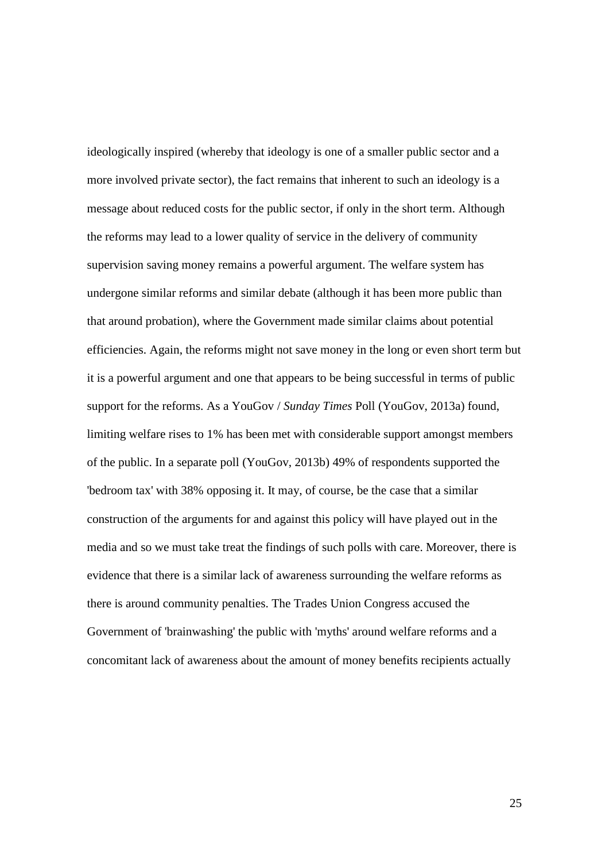ideologically inspired (whereby that ideology is one of a smaller public sector and a more involved private sector), the fact remains that inherent to such an ideology is a message about reduced costs for the public sector, if only in the short term. Although the reforms may lead to a lower quality of service in the delivery of community supervision saving money remains a powerful argument. The welfare system has undergone similar reforms and similar debate (although it has been more public than that around probation), where the Government made similar claims about potential efficiencies. Again, the reforms might not save money in the long or even short term but it is a powerful argument and one that appears to be being successful in terms of public support for the reforms. As a YouGov / *Sunday Times* Poll (YouGov, 2013a) found, limiting welfare rises to 1% has been met with considerable support amongst members of the public. In a separate poll (YouGov, 2013b) 49% of respondents supported the 'bedroom tax' with 38% opposing it. It may, of course, be the case that a similar construction of the arguments for and against this policy will have played out in the media and so we must take treat the findings of such polls with care. Moreover, there is evidence that there is a similar lack of awareness surrounding the welfare reforms as there is around community penalties. The Trades Union Congress accused the Government of 'brainwashing' the public with 'myths' around welfare reforms and a concomitant lack of awareness about the amount of money benefits recipients actually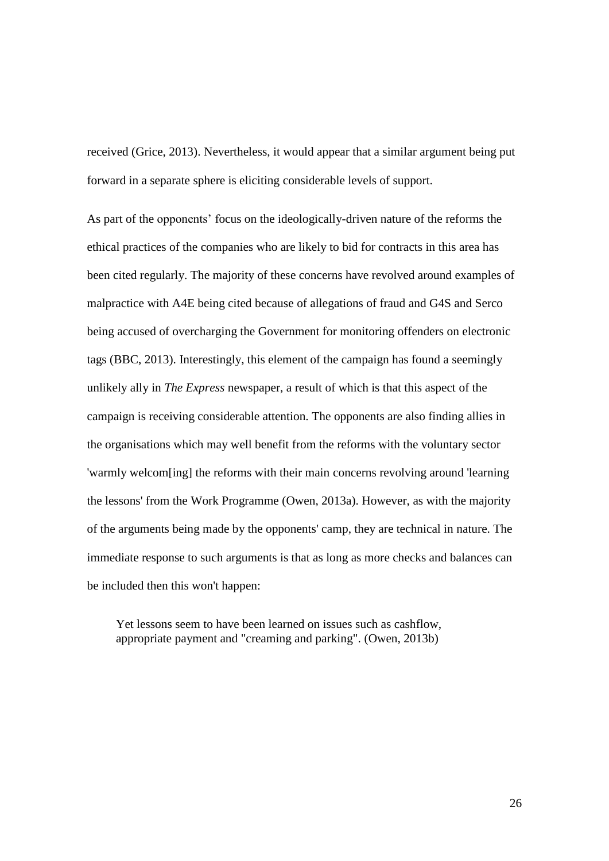received (Grice, 2013). Nevertheless, it would appear that a similar argument being put forward in a separate sphere is eliciting considerable levels of support.

As part of the opponents' focus on the ideologically-driven nature of the reforms the ethical practices of the companies who are likely to bid for contracts in this area has been cited regularly. The majority of these concerns have revolved around examples of malpractice with A4E being cited because of allegations of fraud and G4S and Serco being accused of overcharging the Government for monitoring offenders on electronic tags (BBC, 2013). Interestingly, this element of the campaign has found a seemingly unlikely ally in *The Express* newspaper, a result of which is that this aspect of the campaign is receiving considerable attention. The opponents are also finding allies in the organisations which may well benefit from the reforms with the voluntary sector 'warmly welcom[ing] the reforms with their main concerns revolving around 'learning the lessons' from the Work Programme (Owen, 2013a). However, as with the majority of the arguments being made by the opponents' camp, they are technical in nature. The immediate response to such arguments is that as long as more checks and balances can be included then this won't happen:

Yet lessons seem to have been learned on issues such as cashflow, appropriate payment and "creaming and parking". (Owen, 2013b)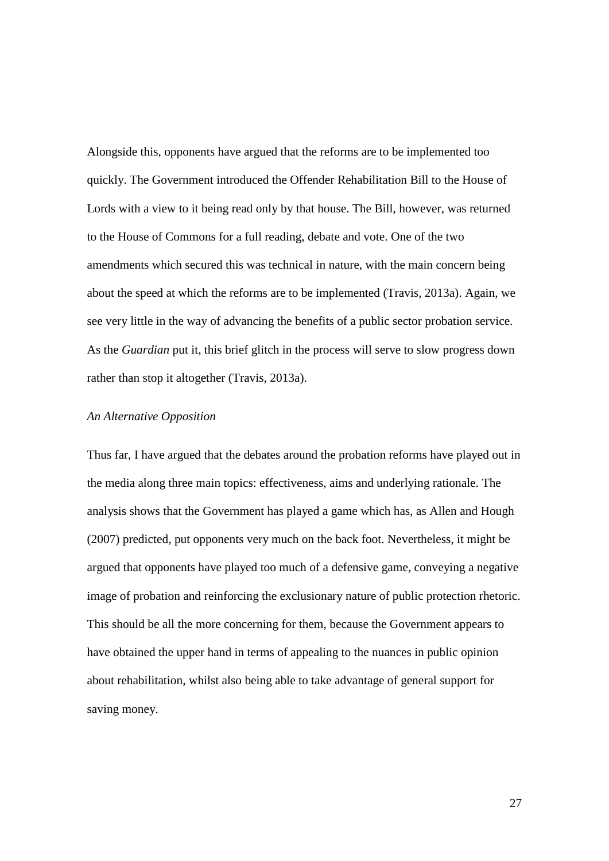Alongside this, opponents have argued that the reforms are to be implemented too quickly. The Government introduced the Offender Rehabilitation Bill to the House of Lords with a view to it being read only by that house. The Bill, however, was returned to the House of Commons for a full reading, debate and vote. One of the two amendments which secured this was technical in nature, with the main concern being about the speed at which the reforms are to be implemented (Travis, 2013a). Again, we see very little in the way of advancing the benefits of a public sector probation service. As the *Guardian* put it, this brief glitch in the process will serve to slow progress down rather than stop it altogether (Travis, 2013a).

#### *An Alternative Opposition*

Thus far, I have argued that the debates around the probation reforms have played out in the media along three main topics: effectiveness, aims and underlying rationale. The analysis shows that the Government has played a game which has, as Allen and Hough (2007) predicted, put opponents very much on the back foot. Nevertheless, it might be argued that opponents have played too much of a defensive game, conveying a negative image of probation and reinforcing the exclusionary nature of public protection rhetoric. This should be all the more concerning for them, because the Government appears to have obtained the upper hand in terms of appealing to the nuances in public opinion about rehabilitation, whilst also being able to take advantage of general support for saving money.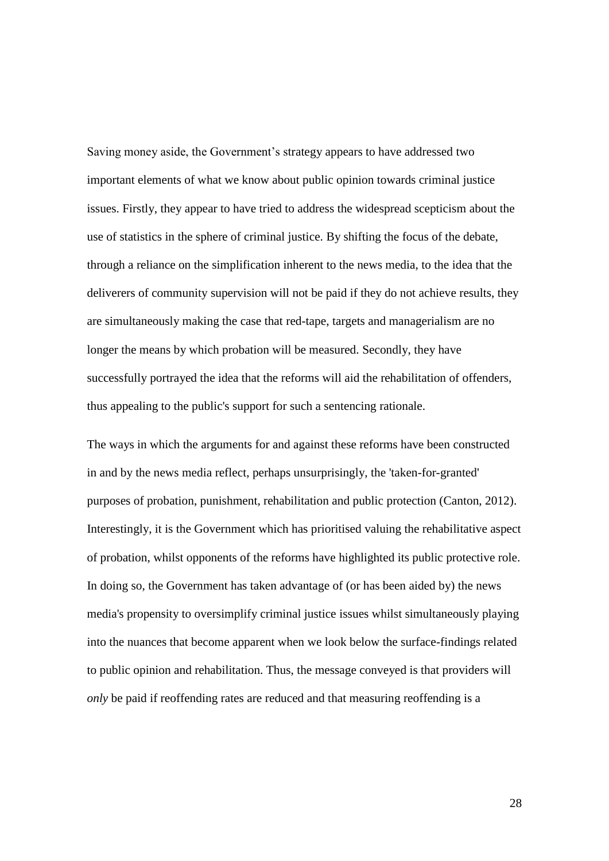Saving money aside, the Government's strategy appears to have addressed two important elements of what we know about public opinion towards criminal justice issues. Firstly, they appear to have tried to address the widespread scepticism about the use of statistics in the sphere of criminal justice. By shifting the focus of the debate, through a reliance on the simplification inherent to the news media, to the idea that the deliverers of community supervision will not be paid if they do not achieve results, they are simultaneously making the case that red-tape, targets and managerialism are no longer the means by which probation will be measured. Secondly, they have successfully portrayed the idea that the reforms will aid the rehabilitation of offenders, thus appealing to the public's support for such a sentencing rationale.

The ways in which the arguments for and against these reforms have been constructed in and by the news media reflect, perhaps unsurprisingly, the 'taken-for-granted' purposes of probation, punishment, rehabilitation and public protection (Canton, 2012). Interestingly, it is the Government which has prioritised valuing the rehabilitative aspect of probation, whilst opponents of the reforms have highlighted its public protective role. In doing so, the Government has taken advantage of (or has been aided by) the news media's propensity to oversimplify criminal justice issues whilst simultaneously playing into the nuances that become apparent when we look below the surface-findings related to public opinion and rehabilitation. Thus, the message conveyed is that providers will *only* be paid if reoffending rates are reduced and that measuring reoffending is a

28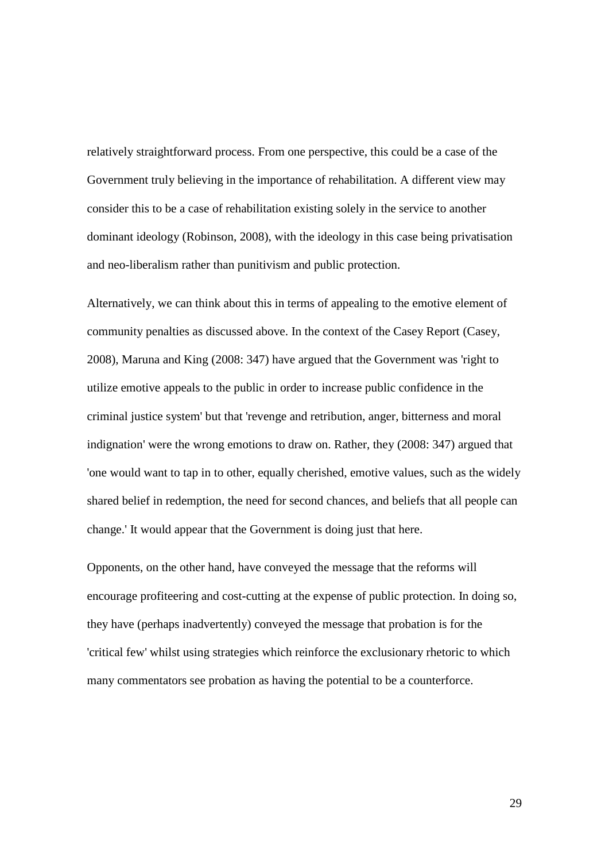relatively straightforward process. From one perspective, this could be a case of the Government truly believing in the importance of rehabilitation. A different view may consider this to be a case of rehabilitation existing solely in the service to another dominant ideology (Robinson, 2008), with the ideology in this case being privatisation and neo-liberalism rather than punitivism and public protection.

Alternatively, we can think about this in terms of appealing to the emotive element of community penalties as discussed above. In the context of the Casey Report (Casey, 2008), Maruna and King (2008: 347) have argued that the Government was 'right to utilize emotive appeals to the public in order to increase public confidence in the criminal justice system' but that 'revenge and retribution, anger, bitterness and moral indignation' were the wrong emotions to draw on. Rather, they (2008: 347) argued that 'one would want to tap in to other, equally cherished, emotive values, such as the widely shared belief in redemption, the need for second chances, and beliefs that all people can change.' It would appear that the Government is doing just that here.

Opponents, on the other hand, have conveyed the message that the reforms will encourage profiteering and cost-cutting at the expense of public protection. In doing so, they have (perhaps inadvertently) conveyed the message that probation is for the 'critical few' whilst using strategies which reinforce the exclusionary rhetoric to which many commentators see probation as having the potential to be a counterforce.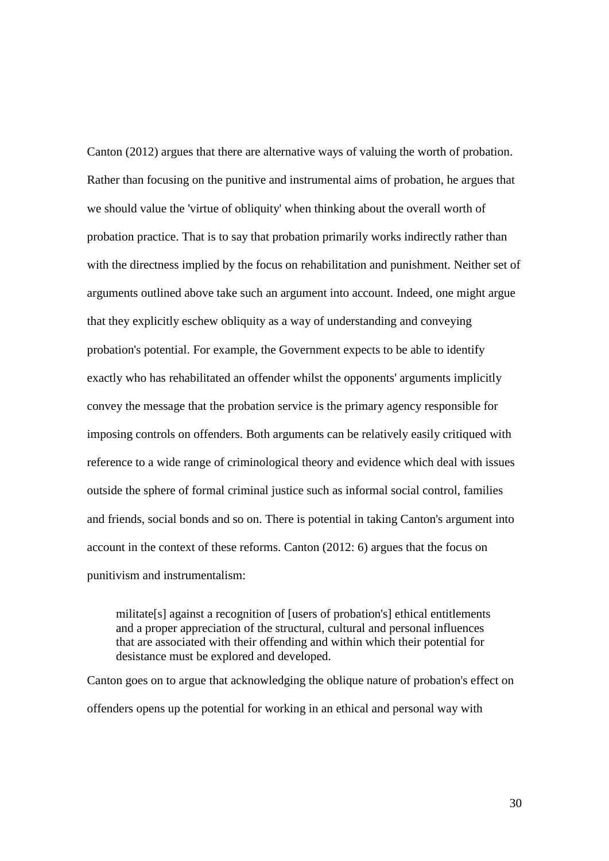Canton (2012) argues that there are alternative ways of valuing the worth of probation. Rather than focusing on the punitive and instrumental aims of probation, he argues that we should value the 'virtue of obliquity' when thinking about the overall worth of probation practice. That is to say that probation primarily works indirectly rather than with the directness implied by the focus on rehabilitation and punishment. Neither set of arguments outlined above take such an argument into account. Indeed, one might argue that they explicitly eschew obliquity as a way of understanding and conveying probation's potential. For example, the Government expects to be able to identify exactly who has rehabilitated an offender whilst the opponents' arguments implicitly convey the message that the probation service is the primary agency responsible for imposing controls on offenders. Both arguments can be relatively easily critiqued with reference to a wide range of criminological theory and evidence which deal with issues outside the sphere of formal criminal justice such as informal social control, families and friends, social bonds and so on. There is potential in taking Canton's argument into account in the context of these reforms. Canton (2012: 6) argues that the focus on punitivism and instrumentalism:

militate[s] against a recognition of [users of probation's] ethical entitlements and a proper appreciation of the structural, cultural and personal influences that are associated with their offending and within which their potential for desistance must be explored and developed.

Canton goes on to argue that acknowledging the oblique nature of probation's effect on offenders opens up the potential for working in an ethical and personal way with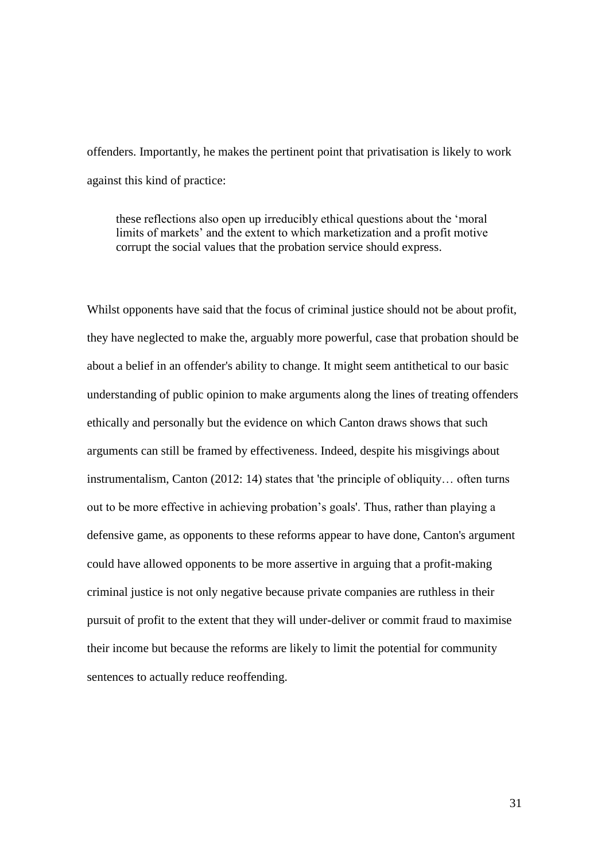offenders. Importantly, he makes the pertinent point that privatisation is likely to work against this kind of practice:

these reflections also open up irreducibly ethical questions about the 'moral limits of markets' and the extent to which marketization and a profit motive corrupt the social values that the probation service should express.

Whilst opponents have said that the focus of criminal justice should not be about profit, they have neglected to make the, arguably more powerful, case that probation should be about a belief in an offender's ability to change. It might seem antithetical to our basic understanding of public opinion to make arguments along the lines of treating offenders ethically and personally but the evidence on which Canton draws shows that such arguments can still be framed by effectiveness. Indeed, despite his misgivings about instrumentalism, Canton (2012: 14) states that 'the principle of obliquity… often turns out to be more effective in achieving probation's goals'. Thus, rather than playing a defensive game, as opponents to these reforms appear to have done, Canton's argument could have allowed opponents to be more assertive in arguing that a profit-making criminal justice is not only negative because private companies are ruthless in their pursuit of profit to the extent that they will under-deliver or commit fraud to maximise their income but because the reforms are likely to limit the potential for community sentences to actually reduce reoffending.

31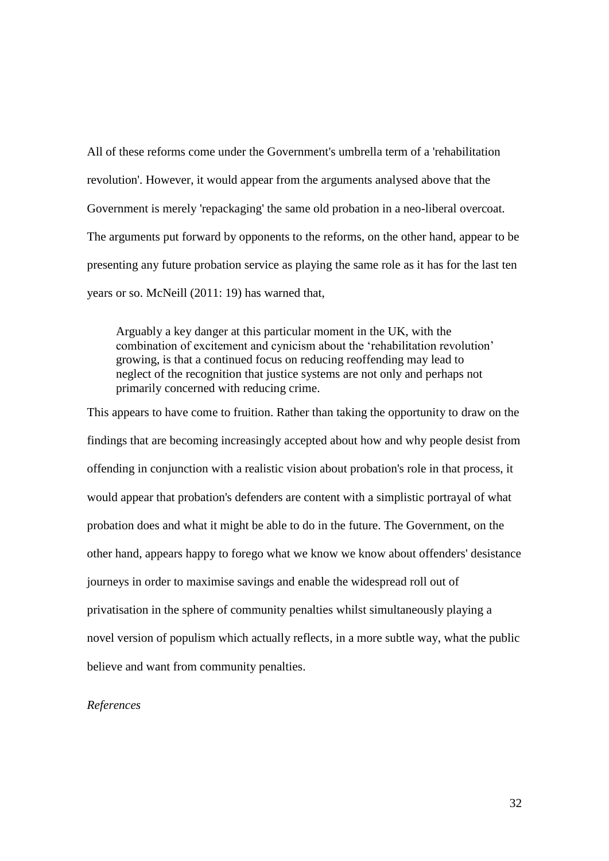All of these reforms come under the Government's umbrella term of a 'rehabilitation revolution'. However, it would appear from the arguments analysed above that the Government is merely 'repackaging' the same old probation in a neo-liberal overcoat. The arguments put forward by opponents to the reforms, on the other hand, appear to be presenting any future probation service as playing the same role as it has for the last ten years or so. McNeill (2011: 19) has warned that,

Arguably a key danger at this particular moment in the UK, with the combination of excitement and cynicism about the 'rehabilitation revolution' growing, is that a continued focus on reducing reoffending may lead to neglect of the recognition that justice systems are not only and perhaps not primarily concerned with reducing crime.

This appears to have come to fruition. Rather than taking the opportunity to draw on the findings that are becoming increasingly accepted about how and why people desist from offending in conjunction with a realistic vision about probation's role in that process, it would appear that probation's defenders are content with a simplistic portrayal of what probation does and what it might be able to do in the future. The Government, on the other hand, appears happy to forego what we know we know about offenders' desistance journeys in order to maximise savings and enable the widespread roll out of privatisation in the sphere of community penalties whilst simultaneously playing a novel version of populism which actually reflects, in a more subtle way, what the public believe and want from community penalties.

*References*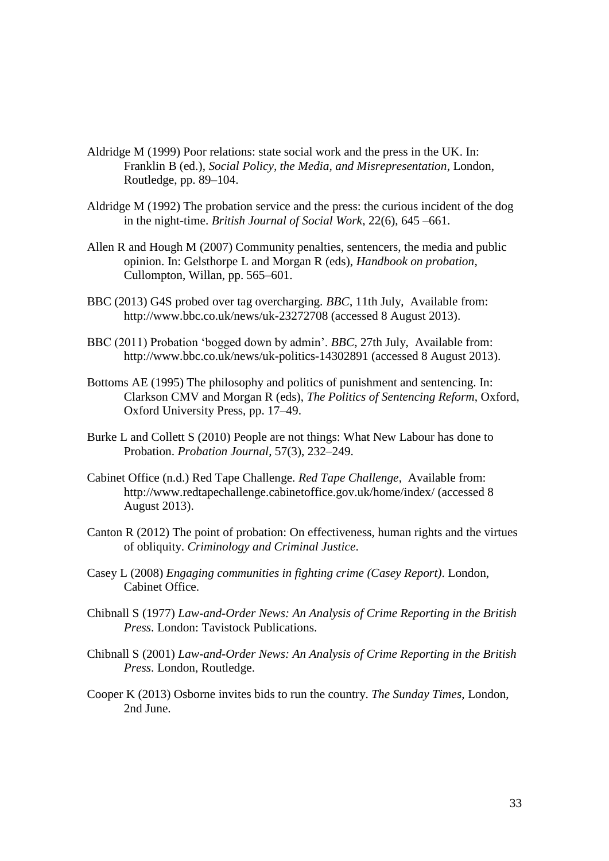- Aldridge M (1999) Poor relations: state social work and the press in the UK. In: Franklin B (ed.), *Social Policy, the Media, and Misrepresentation*, London, Routledge, pp. 89–104.
- Aldridge M (1992) The probation service and the press: the curious incident of the dog in the night-time. *British Journal of Social Work*, 22(6), 645 –661.
- Allen R and Hough M (2007) Community penalties, sentencers, the media and public opinion. In: Gelsthorpe L and Morgan R (eds), *Handbook on probation*, Cullompton, Willan, pp. 565–601.
- BBC (2013) G4S probed over tag overcharging. *BBC*, 11th July, Available from: http://www.bbc.co.uk/news/uk-23272708 (accessed 8 August 2013).
- BBC (2011) Probation 'bogged down by admin'. *BBC*, 27th July, Available from: http://www.bbc.co.uk/news/uk-politics-14302891 (accessed 8 August 2013).
- Bottoms AE (1995) The philosophy and politics of punishment and sentencing. In: Clarkson CMV and Morgan R (eds), *The Politics of Sentencing Reform*, Oxford, Oxford University Press, pp. 17–49.
- Burke L and Collett S (2010) People are not things: What New Labour has done to Probation. *Probation Journal*, 57(3), 232–249.
- Cabinet Office (n.d.) Red Tape Challenge. *Red Tape Challenge*, Available from: http://www.redtapechallenge.cabinetoffice.gov.uk/home/index/ (accessed 8 August 2013).
- Canton R (2012) The point of probation: On effectiveness, human rights and the virtues of obliquity. *Criminology and Criminal Justice*.
- Casey L (2008) *Engaging communities in fighting crime (Casey Report)*. London, Cabinet Office.
- Chibnall S (1977) *Law-and-Order News: An Analysis of Crime Reporting in the British Press*. London: Tavistock Publications.
- Chibnall S (2001) *Law-and-Order News: An Analysis of Crime Reporting in the British Press*. London, Routledge.
- Cooper K (2013) Osborne invites bids to run the country. *The Sunday Times*, London, 2nd June.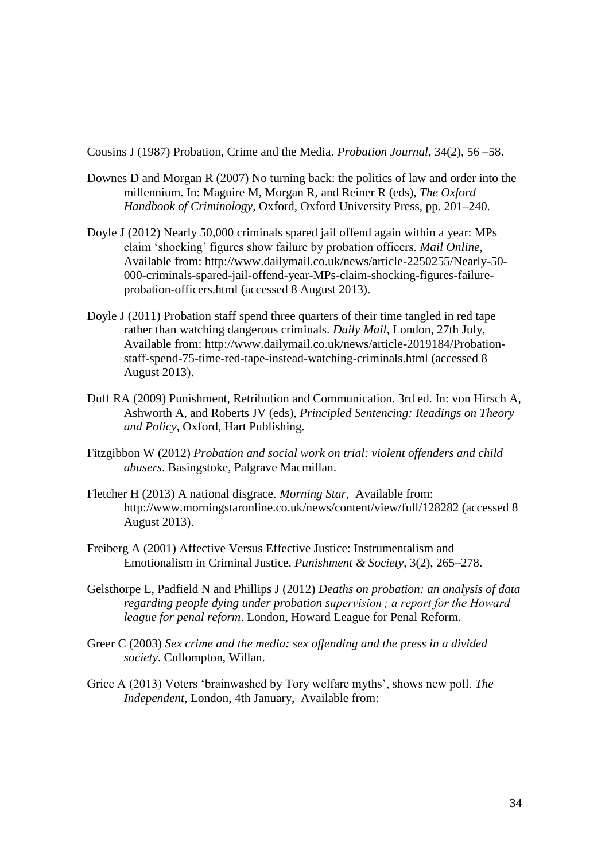Cousins J (1987) Probation, Crime and the Media. *Probation Journal*, 34(2), 56 –58.

- Downes D and Morgan R (2007) No turning back: the politics of law and order into the millennium. In: Maguire M, Morgan R, and Reiner R (eds), *The Oxford Handbook of Criminology*, Oxford, Oxford University Press, pp. 201–240.
- Doyle J (2012) Nearly 50,000 criminals spared jail offend again within a year: MPs claim 'shocking' figures show failure by probation officers. *Mail Online*, Available from: http://www.dailymail.co.uk/news/article-2250255/Nearly-50- 000-criminals-spared-jail-offend-year-MPs-claim-shocking-figures-failureprobation-officers.html (accessed 8 August 2013).
- Doyle J (2011) Probation staff spend three quarters of their time tangled in red tape rather than watching dangerous criminals. *Daily Mail*, London, 27th July, Available from: http://www.dailymail.co.uk/news/article-2019184/Probationstaff-spend-75-time-red-tape-instead-watching-criminals.html (accessed 8 August 2013).
- Duff RA (2009) Punishment, Retribution and Communication. 3rd ed. In: von Hirsch A, Ashworth A, and Roberts JV (eds), *Principled Sentencing: Readings on Theory and Policy*, Oxford, Hart Publishing.
- Fitzgibbon W (2012) *Probation and social work on trial: violent offenders and child abusers*. Basingstoke, Palgrave Macmillan.
- Fletcher H (2013) A national disgrace. *Morning Star*, Available from: http://www.morningstaronline.co.uk/news/content/view/full/128282 (accessed 8 August 2013).
- Freiberg A (2001) Affective Versus Effective Justice: Instrumentalism and Emotionalism in Criminal Justice. *Punishment & Society*, 3(2), 265–278.
- Gelsthorpe L, Padfield N and Phillips J (2012) *Deaths on probation: an analysis of data regarding people dying under probation supervision ; a report for the Howard league for penal reform*. London, Howard League for Penal Reform.
- Greer C (2003) *Sex crime and the media: sex offending and the press in a divided society*. Cullompton, Willan.
- Grice A (2013) Voters 'brainwashed by Tory welfare myths', shows new poll. *The Independent*, London, 4th January, Available from: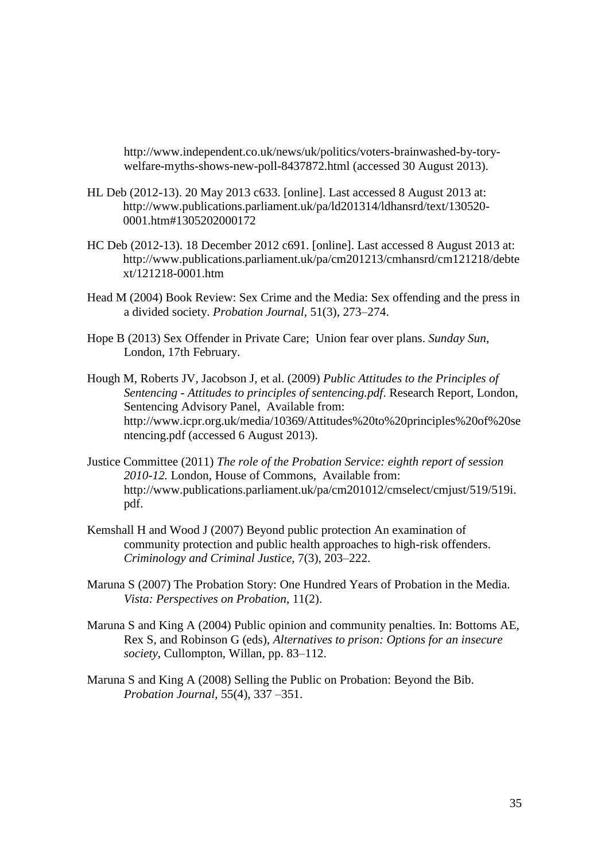http://www.independent.co.uk/news/uk/politics/voters-brainwashed-by-torywelfare-myths-shows-new-poll-8437872.html (accessed 30 August 2013).

- HL Deb (2012-13). 20 May 2013 c633. [online]. Last accessed 8 August 2013 at: http://www.publications.parliament.uk/pa/ld201314/ldhansrd/text/130520- 0001.htm#1305202000172
- HC Deb (2012-13). 18 December 2012 c691. [online]. Last accessed 8 August 2013 at: http://www.publications.parliament.uk/pa/cm201213/cmhansrd/cm121218/debte xt/121218-0001.htm
- Head M (2004) Book Review: Sex Crime and the Media: Sex offending and the press in a divided society. *Probation Journal*, 51(3), 273–274.
- Hope B (2013) Sex Offender in Private Care; Union fear over plans. *Sunday Sun*, London, 17th February.
- Hough M, Roberts JV, Jacobson J, et al. (2009) *Public Attitudes to the Principles of Sentencing - Attitudes to principles of sentencing.pdf*. Research Report, London, Sentencing Advisory Panel, Available from: http://www.icpr.org.uk/media/10369/Attitudes%20to%20principles%20of%20se ntencing.pdf (accessed 6 August 2013).
- Justice Committee (2011) *The role of the Probation Service: eighth report of session 2010-12.* London, House of Commons, Available from: http://www.publications.parliament.uk/pa/cm201012/cmselect/cmjust/519/519i. pdf.
- Kemshall H and Wood J (2007) Beyond public protection An examination of community protection and public health approaches to high-risk offenders. *Criminology and Criminal Justice*, 7(3), 203–222.
- Maruna S (2007) The Probation Story: One Hundred Years of Probation in the Media. *Vista: Perspectives on Probation*, 11(2).
- Maruna S and King A (2004) Public opinion and community penalties. In: Bottoms AE, Rex S, and Robinson G (eds), *Alternatives to prison: Options for an insecure society*, Cullompton, Willan, pp. 83–112.
- Maruna S and King A (2008) Selling the Public on Probation: Beyond the Bib. *Probation Journal*, 55(4), 337 –351.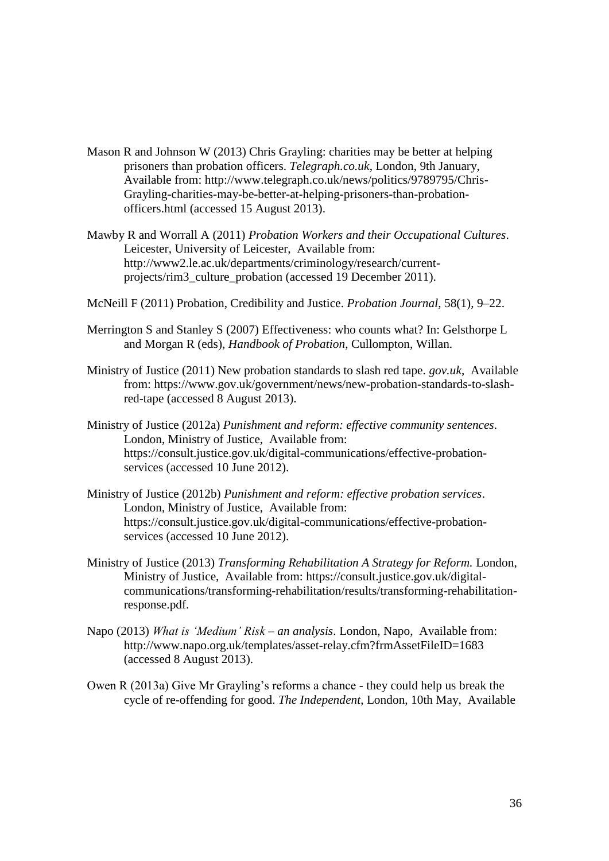- Mason R and Johnson W (2013) Chris Grayling: charities may be better at helping prisoners than probation officers. *Telegraph.co.uk*, London, 9th January, Available from: http://www.telegraph.co.uk/news/politics/9789795/Chris-Grayling-charities-may-be-better-at-helping-prisoners-than-probationofficers.html (accessed 15 August 2013).
- Mawby R and Worrall A (2011) *Probation Workers and their Occupational Cultures*. Leicester, University of Leicester, Available from: http://www2.le.ac.uk/departments/criminology/research/currentprojects/rim3\_culture\_probation (accessed 19 December 2011).
- McNeill F (2011) Probation, Credibility and Justice. *Probation Journal*, 58(1), 9–22.
- Merrington S and Stanley S (2007) Effectiveness: who counts what? In: Gelsthorpe L and Morgan R (eds), *Handbook of Probation*, Cullompton, Willan.
- Ministry of Justice (2011) New probation standards to slash red tape. *gov.uk*, Available from: https://www.gov.uk/government/news/new-probation-standards-to-slashred-tape (accessed 8 August 2013).
- Ministry of Justice (2012a) *Punishment and reform: effective community sentences*. London, Ministry of Justice, Available from: https://consult.justice.gov.uk/digital-communications/effective-probationservices (accessed 10 June 2012).
- Ministry of Justice (2012b) *Punishment and reform: effective probation services*. London, Ministry of Justice, Available from: https://consult.justice.gov.uk/digital-communications/effective-probationservices (accessed 10 June 2012).
- Ministry of Justice (2013) *Transforming Rehabilitation A Strategy for Reform.* London, Ministry of Justice, Available from: https://consult.justice.gov.uk/digitalcommunications/transforming-rehabilitation/results/transforming-rehabilitationresponse.pdf.
- Napo (2013) *What is 'Medium' Risk – an analysis*. London, Napo, Available from: http://www.napo.org.uk/templates/asset-relay.cfm?frmAssetFileID=1683 (accessed 8 August 2013).
- Owen R (2013a) Give Mr Grayling's reforms a chance they could help us break the cycle of re-offending for good. *The Independent*, London, 10th May, Available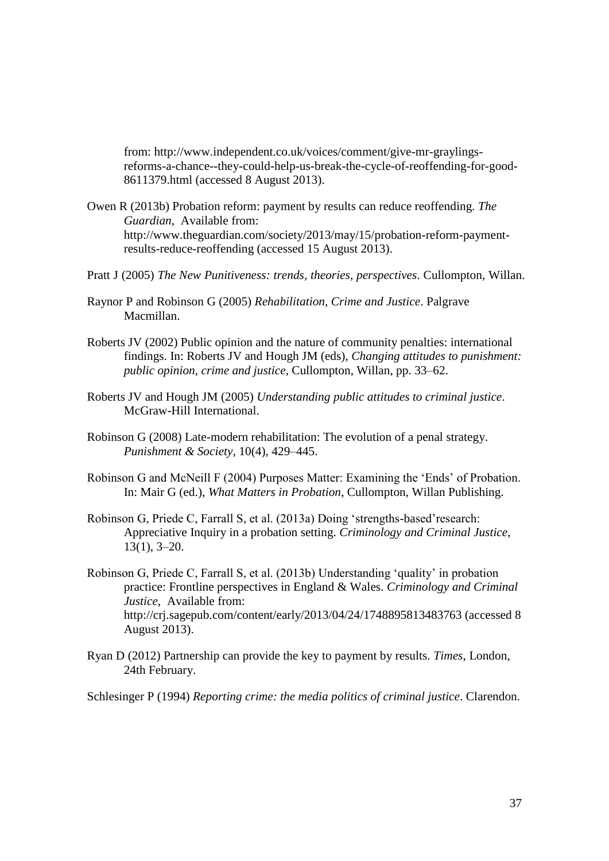from: http://www.independent.co.uk/voices/comment/give-mr-graylingsreforms-a-chance--they-could-help-us-break-the-cycle-of-reoffending-for-good-8611379.html (accessed 8 August 2013).

- Owen R (2013b) Probation reform: payment by results can reduce reoffending. *The Guardian*, Available from: http://www.theguardian.com/society/2013/may/15/probation-reform-paymentresults-reduce-reoffending (accessed 15 August 2013).
- Pratt J (2005) *The New Punitiveness: trends, theories, perspectives*. Cullompton, Willan.
- Raynor P and Robinson G (2005) *Rehabilitation, Crime and Justice*. Palgrave Macmillan.
- Roberts JV (2002) Public opinion and the nature of community penalties: international findings. In: Roberts JV and Hough JM (eds), *Changing attitudes to punishment: public opinion, crime and justice*, Cullompton, Willan, pp. 33–62.
- Roberts JV and Hough JM (2005) *Understanding public attitudes to criminal justice*. McGraw-Hill International.
- Robinson G (2008) Late-modern rehabilitation: The evolution of a penal strategy. *Punishment & Society*, 10(4), 429–445.
- Robinson G and McNeill F (2004) Purposes Matter: Examining the 'Ends' of Probation. In: Mair G (ed.), *What Matters in Probation*, Cullompton, Willan Publishing.
- Robinson G, Priede C, Farrall S, et al. (2013a) Doing 'strengths-based'research: Appreciative Inquiry in a probation setting. *Criminology and Criminal Justice*, 13(1), 3–20.
- Robinson G, Priede C, Farrall S, et al. (2013b) Understanding 'quality' in probation practice: Frontline perspectives in England & Wales. *Criminology and Criminal Justice*, Available from: http://crj.sagepub.com/content/early/2013/04/24/1748895813483763 (accessed 8 August 2013).
- Ryan D (2012) Partnership can provide the key to payment by results. *Times*, London, 24th February.
- Schlesinger P (1994) *Reporting crime: the media politics of criminal justice*. Clarendon.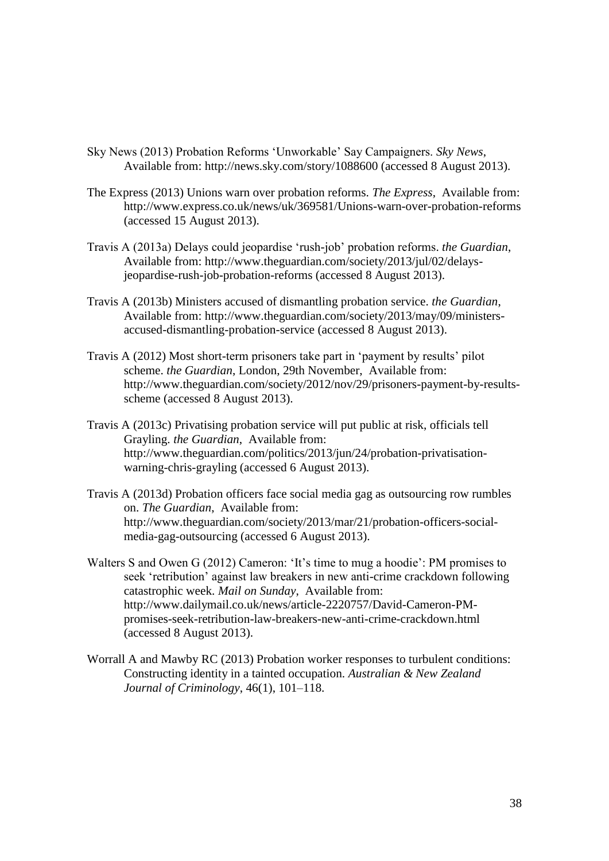- Sky News (2013) Probation Reforms 'Unworkable' Say Campaigners. *Sky News*, Available from: http://news.sky.com/story/1088600 (accessed 8 August 2013).
- The Express (2013) Unions warn over probation reforms. *The Express*, Available from: http://www.express.co.uk/news/uk/369581/Unions-warn-over-probation-reforms (accessed 15 August 2013).
- Travis A (2013a) Delays could jeopardise 'rush-job' probation reforms. *the Guardian*, Available from: http://www.theguardian.com/society/2013/jul/02/delaysjeopardise-rush-job-probation-reforms (accessed 8 August 2013).
- Travis A (2013b) Ministers accused of dismantling probation service. *the Guardian*, Available from: http://www.theguardian.com/society/2013/may/09/ministersaccused-dismantling-probation-service (accessed 8 August 2013).
- Travis A (2012) Most short-term prisoners take part in 'payment by results' pilot scheme. *the Guardian*, London, 29th November, Available from: http://www.theguardian.com/society/2012/nov/29/prisoners-payment-by-resultsscheme (accessed 8 August 2013).
- Travis A (2013c) Privatising probation service will put public at risk, officials tell Grayling. *the Guardian*, Available from: http://www.theguardian.com/politics/2013/jun/24/probation-privatisationwarning-chris-grayling (accessed 6 August 2013).
- Travis A (2013d) Probation officers face social media gag as outsourcing row rumbles on. *The Guardian*, Available from: http://www.theguardian.com/society/2013/mar/21/probation-officers-socialmedia-gag-outsourcing (accessed 6 August 2013).
- Walters S and Owen G (2012) Cameron: 'It's time to mug a hoodie': PM promises to seek 'retribution' against law breakers in new anti-crime crackdown following catastrophic week. *Mail on Sunday*, Available from: http://www.dailymail.co.uk/news/article-2220757/David-Cameron-PMpromises-seek-retribution-law-breakers-new-anti-crime-crackdown.html (accessed 8 August 2013).
- Worrall A and Mawby RC (2013) Probation worker responses to turbulent conditions: Constructing identity in a tainted occupation. *Australian & New Zealand Journal of Criminology*, 46(1), 101–118.